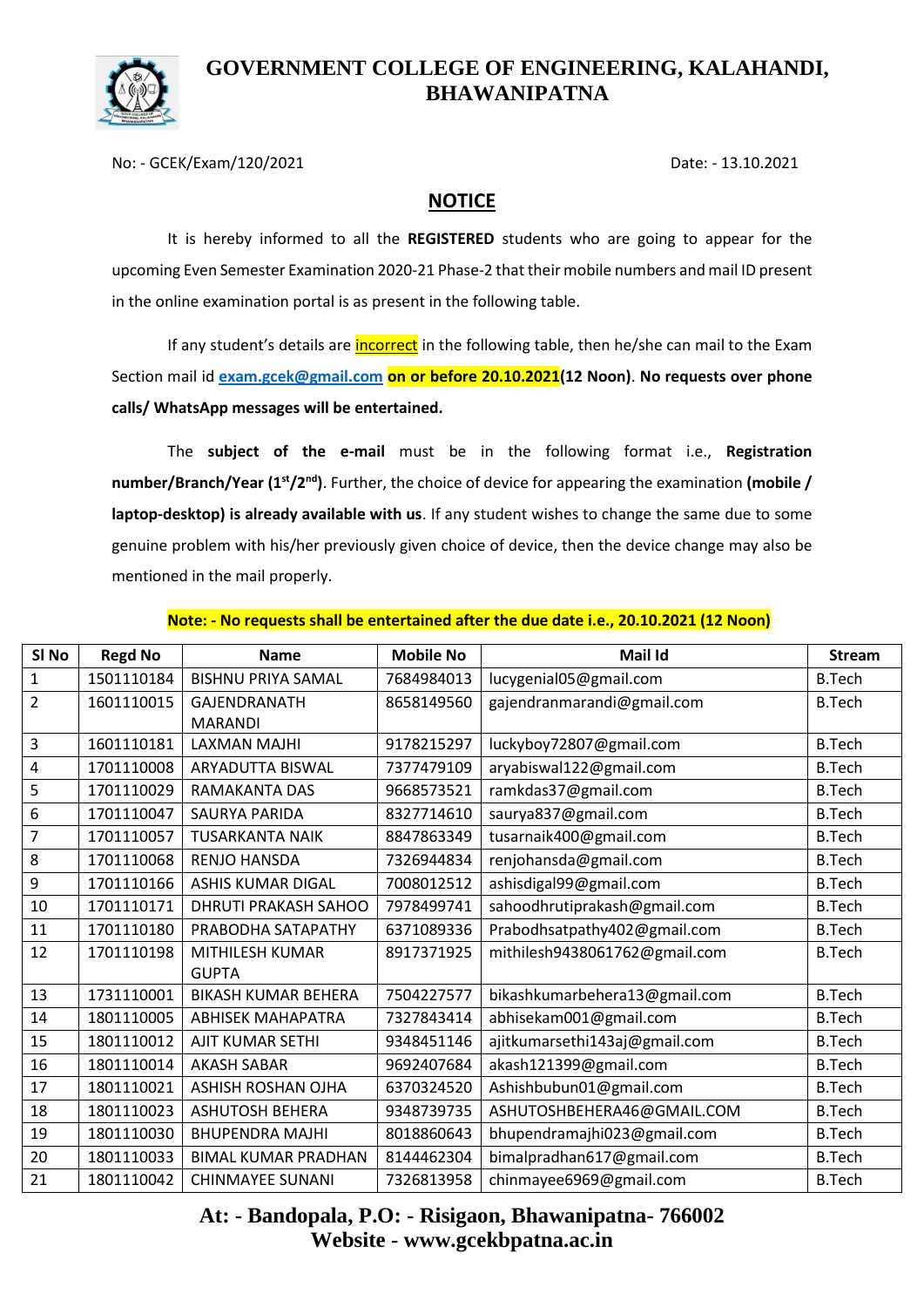

No: - GCEK/Exam/120/2021 Date: - 13.10.2021

#### **NOTICE**

It is hereby informed to all the **REGISTERED** students who are going to appear for the upcoming Even Semester Examination 2020-21 Phase-2 that their mobile numbers and mail ID present in the online examination portal is as present in the following table.

If any student's details are *incorrect* in the following table, then he/she can mail to the Exam Section mail id **[exam.gcek@gmail.com](mailto:exam.gcek@gmail.com) on or before 20.10.2021(12 Noon)**. **No requests over phone calls/ WhatsApp messages will be entertained.**

The **subject of the e-mail** must be in the following format i.e., **Registration number/Branch/Year (1st/2nd)**. Further, the choice of device for appearing the examination **(mobile / laptop-desktop) is already available with us**. If any student wishes to change the same due to some genuine problem with his/her previously given choice of device, then the device change may also be mentioned in the mail properly.

| SI No          | <b>Regd No</b> | <b>Name</b>                 | <b>Mobile No</b> | <b>Mail Id</b>                | <b>Stream</b> |
|----------------|----------------|-----------------------------|------------------|-------------------------------|---------------|
| $\mathbf{1}$   | 1501110184     | <b>BISHNU PRIYA SAMAL</b>   | 7684984013       | lucygenial05@gmail.com        | <b>B.Tech</b> |
| $\overline{2}$ | 1601110015     | <b>GAJENDRANATH</b>         | 8658149560       | gajendranmarandi@gmail.com    | <b>B.Tech</b> |
|                |                | <b>MARANDI</b>              |                  |                               |               |
| 3              | 1601110181     | LAXMAN MAJHI                | 9178215297       | luckyboy72807@gmail.com       | <b>B.Tech</b> |
| 4              | 1701110008     | ARYADUTTA BISWAL            | 7377479109       | aryabiswal122@gmail.com       | <b>B.Tech</b> |
| 5              | 1701110029     | <b>RAMAKANTA DAS</b>        | 9668573521       | ramkdas37@gmail.com           | <b>B.Tech</b> |
| 6              | 1701110047     | <b>SAURYA PARIDA</b>        | 8327714610       | saurya837@gmail.com           | <b>B.Tech</b> |
| $\overline{7}$ | 1701110057     | <b>TUSARKANTA NAIK</b>      | 8847863349       | tusarnaik400@gmail.com        | <b>B.Tech</b> |
| 8              | 1701110068     | <b>RENJO HANSDA</b>         | 7326944834       | renjohansda@gmail.com         | <b>B.Tech</b> |
| 9              | 1701110166     | <b>ASHIS KUMAR DIGAL</b>    | 7008012512       | ashisdigal99@gmail.com        | <b>B.Tech</b> |
| 10             | 1701110171     | <b>DHRUTI PRAKASH SAHOO</b> | 7978499741       | sahoodhrutiprakash@gmail.com  | <b>B.Tech</b> |
| 11             | 1701110180     | PRABODHA SATAPATHY          | 6371089336       | Prabodhsatpathy402@gmail.com  | <b>B.Tech</b> |
| 12             | 1701110198     | MITHILESH KUMAR             | 8917371925       | mithilesh9438061762@gmail.com | <b>B.Tech</b> |
|                |                | <b>GUPTA</b>                |                  |                               |               |
| 13             | 1731110001     | <b>BIKASH KUMAR BEHERA</b>  | 7504227577       | bikashkumarbehera13@gmail.com | <b>B.Tech</b> |
| 14             | 1801110005     | <b>ABHISEK MAHAPATRA</b>    | 7327843414       | abhisekam001@gmail.com        | <b>B.Tech</b> |
| 15             | 1801110012     | AJIT KUMAR SETHI            | 9348451146       | ajitkumarsethi143aj@gmail.com | <b>B.Tech</b> |
| 16             | 1801110014     | <b>AKASH SABAR</b>          | 9692407684       | akash121399@gmail.com         | <b>B.Tech</b> |
| 17             | 1801110021     | <b>ASHISH ROSHAN OJHA</b>   | 6370324520       | Ashishbubun01@gmail.com       | <b>B.Tech</b> |
| 18             | 1801110023     | <b>ASHUTOSH BEHERA</b>      | 9348739735       | ASHUTOSHBEHERA46@GMAIL.COM    | <b>B.Tech</b> |
| 19             | 1801110030     | <b>BHUPENDRA MAJHI</b>      | 8018860643       | bhupendramajhi023@gmail.com   | <b>B.Tech</b> |
| 20             | 1801110033     | <b>BIMAL KUMAR PRADHAN</b>  | 8144462304       | bimalpradhan617@gmail.com     | <b>B.Tech</b> |
| 21             | 1801110042     | <b>CHINMAYEE SUNANI</b>     | 7326813958       | chinmayee6969@gmail.com       | <b>B.Tech</b> |

#### **Note: - No requests shall be entertained after the due date i.e., 20.10.2021 (12 Noon)**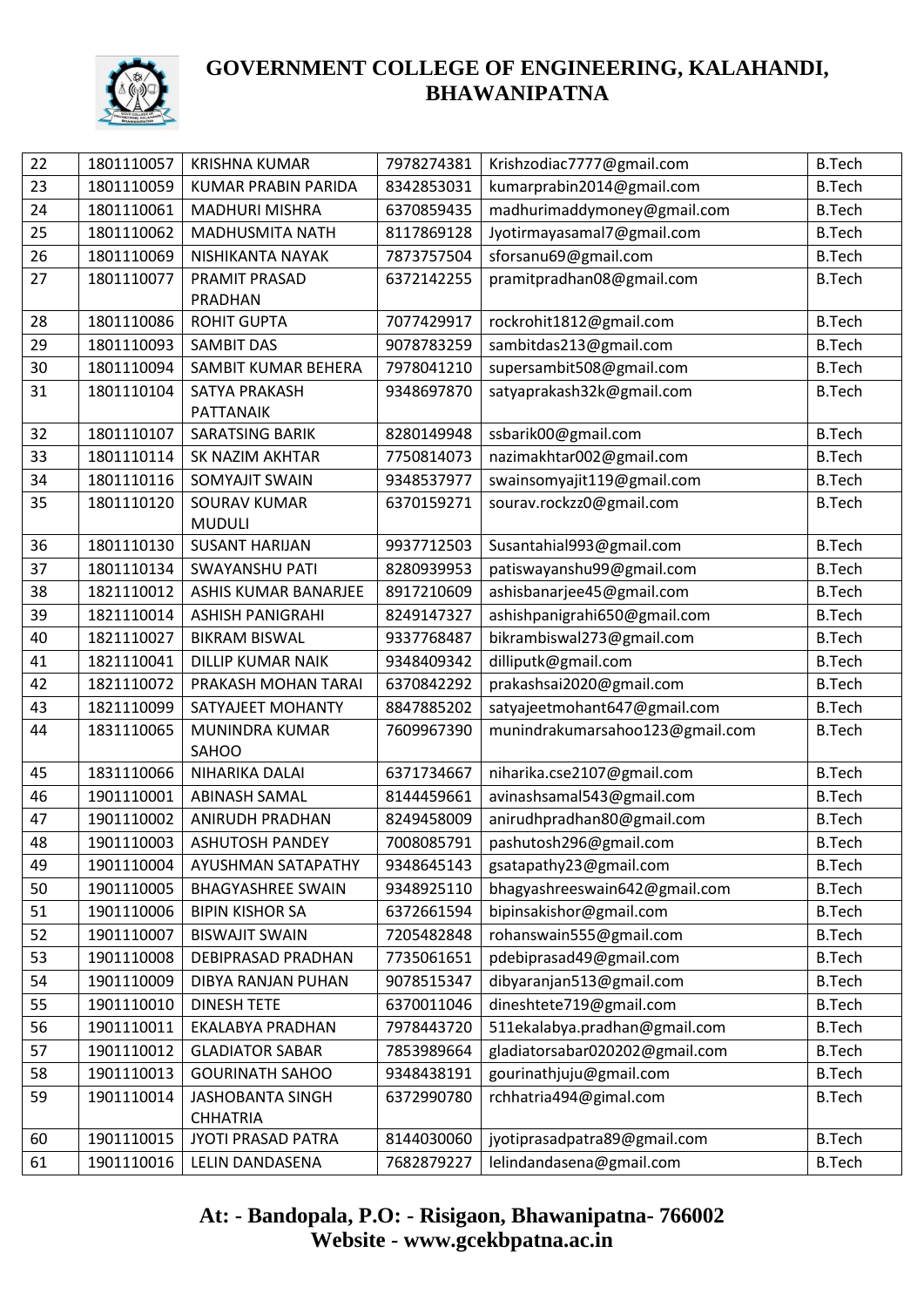

| 22       | 1801110057 | <b>KRISHNA KUMAR</b>       | 7978274381 | Krishzodiac7777@gmail.com       | <b>B.Tech</b> |
|----------|------------|----------------------------|------------|---------------------------------|---------------|
| 23       | 1801110059 | <b>KUMAR PRABIN PARIDA</b> | 8342853031 | kumarprabin2014@gmail.com       | <b>B.Tech</b> |
| 24       | 1801110061 | <b>MADHURI MISHRA</b>      | 6370859435 | madhurimaddymoney@gmail.com     | <b>B.Tech</b> |
| 25       | 1801110062 | <b>MADHUSMITA NATH</b>     | 8117869128 | Jyotirmayasamal7@gmail.com      | <b>B.Tech</b> |
| 26       | 1801110069 | NISHIKANTA NAYAK           | 7873757504 | sforsanu69@gmail.com            | <b>B.Tech</b> |
| 27       | 1801110077 | PRAMIT PRASAD              | 6372142255 | pramitpradhan08@gmail.com       | <b>B.Tech</b> |
|          |            | PRADHAN                    |            |                                 |               |
| 28       | 1801110086 | <b>ROHIT GUPTA</b>         | 7077429917 | rockrohit1812@gmail.com         | <b>B.Tech</b> |
| 29       | 1801110093 | <b>SAMBIT DAS</b>          | 9078783259 | sambitdas213@gmail.com          | <b>B.Tech</b> |
| 30       | 1801110094 | SAMBIT KUMAR BEHERA        | 7978041210 | supersambit508@gmail.com        | <b>B.Tech</b> |
| 31       | 1801110104 | SATYA PRAKASH              | 9348697870 | satyaprakash32k@gmail.com       | <b>B.Tech</b> |
|          |            | PATTANAIK                  |            |                                 |               |
| 32       | 1801110107 | SARATSING BARIK            | 8280149948 | ssbarik00@gmail.com             | <b>B.Tech</b> |
| 33       | 1801110114 | <b>SK NAZIM AKHTAR</b>     | 7750814073 | nazimakhtar002@gmail.com        | <b>B.Tech</b> |
| 34       | 1801110116 | SOMYAJIT SWAIN             | 9348537977 | swainsomyajit119@gmail.com      | <b>B.Tech</b> |
| 35       | 1801110120 | <b>SOURAV KUMAR</b>        | 6370159271 | sourav.rockzz0@gmail.com        | <b>B.Tech</b> |
|          |            | <b>MUDULI</b>              |            |                                 |               |
| 36       | 1801110130 | <b>SUSANT HARIJAN</b>      | 9937712503 | Susantahial993@gmail.com        | <b>B.Tech</b> |
| 37       | 1801110134 | <b>SWAYANSHU PATI</b>      | 8280939953 | patiswayanshu99@gmail.com       | <b>B.Tech</b> |
| 38       | 1821110012 | ASHIS KUMAR BANARJEE       | 8917210609 | ashisbanarjee45@gmail.com       | <b>B.Tech</b> |
| 39       | 1821110014 | <b>ASHISH PANIGRAHI</b>    | 8249147327 | ashishpanigrahi650@gmail.com    | <b>B.Tech</b> |
| 40       | 1821110027 | <b>BIKRAM BISWAL</b>       | 9337768487 | bikrambiswal273@gmail.com       | <b>B.Tech</b> |
| 41       | 1821110041 | <b>DILLIP KUMAR NAIK</b>   | 9348409342 | dilliputk@gmail.com             | <b>B.Tech</b> |
| 42       | 1821110072 | PRAKASH MOHAN TARAI        | 6370842292 | prakashsai2020@gmail.com        | <b>B.Tech</b> |
| 43       | 1821110099 | SATYAJEET MOHANTY          | 8847885202 | satyajeetmohant647@gmail.com    | <b>B.Tech</b> |
| 44       | 1831110065 | MUNINDRA KUMAR             | 7609967390 | munindrakumarsahoo123@gmail.com | <b>B.Tech</b> |
| 45       | 1831110066 | SAHOO<br>NIHARIKA DALAI    | 6371734667 |                                 | <b>B.Tech</b> |
|          |            |                            |            | niharika.cse2107@gmail.com      |               |
| 46<br>47 | 1901110001 | <b>ABINASH SAMAL</b>       | 8144459661 | avinashsamal543@gmail.com       | <b>B.Tech</b> |
|          | 1901110002 | ANIRUDH PRADHAN            | 8249458009 | anirudhpradhan80@gmail.com      | <b>B.Tech</b> |
| 48       | 1901110003 | <b>ASHUTOSH PANDEY</b>     | 7008085791 | pashutosh296@gmail.com          | <b>B.Tech</b> |
| 49       | 1901110004 | AYUSHMAN SATAPATHY         | 9348645143 | gsatapathy23@gmail.com          | <b>B.Tech</b> |
| 50       | 1901110005 | <b>BHAGYASHREE SWAIN</b>   | 9348925110 | bhagyashreeswain642@gmail.com   | <b>B.Tech</b> |
| 51       | 1901110006 | <b>BIPIN KISHOR SA</b>     | 6372661594 | bipinsakishor@gmail.com         | <b>B.Tech</b> |
| 52       | 1901110007 | <b>BISWAJIT SWAIN</b>      | 7205482848 | rohanswain555@gmail.com         | <b>B.Tech</b> |
| 53       | 1901110008 | DEBIPRASAD PRADHAN         | 7735061651 | pdebiprasad49@gmail.com         | <b>B.Tech</b> |
| 54       | 1901110009 | <b>DIBYA RANJAN PUHAN</b>  | 9078515347 | dibyaranjan513@gmail.com        | <b>B.Tech</b> |
| 55       | 1901110010 | <b>DINESH TETE</b>         | 6370011046 | dineshtete719@gmail.com         | <b>B.Tech</b> |
| 56       | 1901110011 | EKALABYA PRADHAN           | 7978443720 | 511ekalabya.pradhan@gmail.com   | <b>B.Tech</b> |
| 57       | 1901110012 | <b>GLADIATOR SABAR</b>     | 7853989664 | gladiatorsabar020202@gmail.com  | <b>B.Tech</b> |
| 58       | 1901110013 | <b>GOURINATH SAHOO</b>     | 9348438191 | gourinathjuju@gmail.com         | <b>B.Tech</b> |
| 59       | 1901110014 | <b>JASHOBANTA SINGH</b>    | 6372990780 | rchhatria494@gimal.com          | <b>B.Tech</b> |
|          |            | <b>CHHATRIA</b>            |            |                                 |               |
| 60       | 1901110015 | JYOTI PRASAD PATRA         | 8144030060 | jyotiprasadpatra89@gmail.com    | <b>B.Tech</b> |
| 61       | 1901110016 | LELIN DANDASENA            | 7682879227 | lelindandasena@gmail.com        | <b>B.Tech</b> |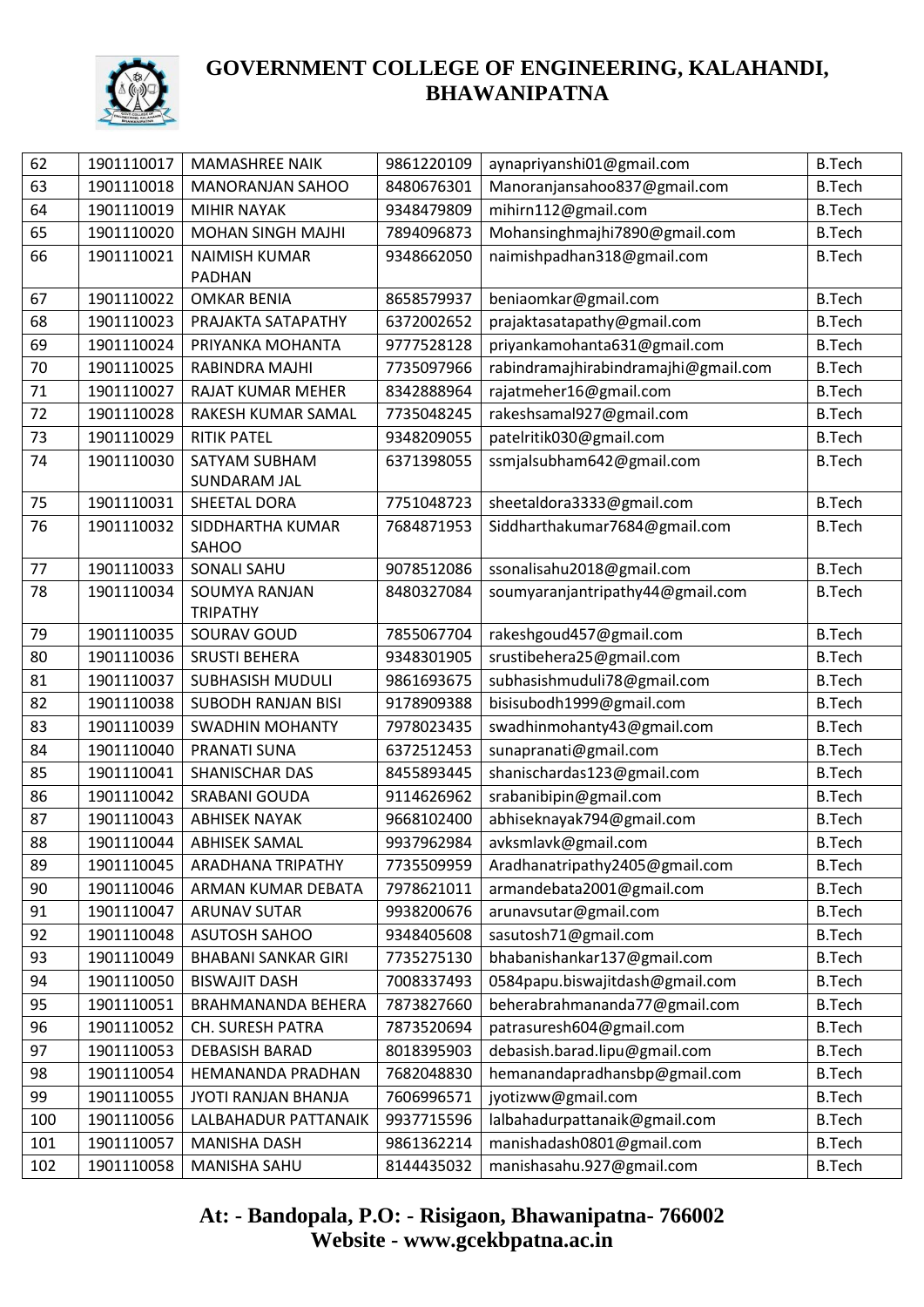

| 62  | 1901110017 | <b>MAMASHREE NAIK</b>      | 9861220109 | aynapriyanshi01@gmail.com            | <b>B.Tech</b> |
|-----|------------|----------------------------|------------|--------------------------------------|---------------|
| 63  | 1901110018 | <b>MANORANJAN SAHOO</b>    | 8480676301 | Manoranjansahoo837@gmail.com         | <b>B.Tech</b> |
| 64  | 1901110019 | <b>MIHIR NAYAK</b>         | 9348479809 | mihirn112@gmail.com                  | <b>B.Tech</b> |
| 65  | 1901110020 | <b>MOHAN SINGH MAJHI</b>   | 7894096873 | Mohansinghmajhi7890@gmail.com        | <b>B.Tech</b> |
| 66  | 1901110021 | <b>NAIMISH KUMAR</b>       | 9348662050 | naimishpadhan318@gmail.com           | <b>B.Tech</b> |
|     |            | <b>PADHAN</b>              |            |                                      |               |
| 67  | 1901110022 | <b>OMKAR BENIA</b>         | 8658579937 | beniaomkar@gmail.com                 | <b>B.Tech</b> |
| 68  | 1901110023 | PRAJAKTA SATAPATHY         | 6372002652 | prajaktasatapathy@gmail.com          | <b>B.Tech</b> |
| 69  | 1901110024 | PRIYANKA MOHANTA           | 9777528128 | priyankamohanta631@gmail.com         | <b>B.Tech</b> |
| 70  | 1901110025 | RABINDRA MAJHI             | 7735097966 | rabindramajhirabindramajhi@gmail.com | <b>B.Tech</b> |
| 71  | 1901110027 | RAJAT KUMAR MEHER          | 8342888964 | rajatmeher16@gmail.com               | <b>B.Tech</b> |
| 72  | 1901110028 | RAKESH KUMAR SAMAL         | 7735048245 | rakeshsamal927@gmail.com             | <b>B.Tech</b> |
| 73  | 1901110029 | <b>RITIK PATEL</b>         | 9348209055 | patelritik030@gmail.com              | <b>B.Tech</b> |
| 74  | 1901110030 | SATYAM SUBHAM              | 6371398055 | ssmjalsubham642@gmail.com            | <b>B.Tech</b> |
|     |            | <b>SUNDARAM JAL</b>        |            |                                      |               |
| 75  | 1901110031 | SHEETAL DORA               | 7751048723 | sheetaldora3333@gmail.com            | <b>B.Tech</b> |
| 76  | 1901110032 | SIDDHARTHA KUMAR           | 7684871953 | Siddharthakumar7684@gmail.com        | <b>B.Tech</b> |
|     |            | SAHOO                      |            |                                      |               |
| 77  | 1901110033 | <b>SONALI SAHU</b>         | 9078512086 | ssonalisahu2018@gmail.com            | <b>B.Tech</b> |
| 78  | 1901110034 | <b>SOUMYA RANJAN</b>       | 8480327084 | soumyaranjantripathy44@gmail.com     | <b>B.Tech</b> |
|     |            | <b>TRIPATHY</b>            |            |                                      |               |
| 79  | 1901110035 | SOURAV GOUD                | 7855067704 | rakeshgoud457@gmail.com              | <b>B.Tech</b> |
| 80  | 1901110036 | <b>SRUSTI BEHERA</b>       | 9348301905 | srustibehera25@gmail.com             | <b>B.Tech</b> |
| 81  | 1901110037 | <b>SUBHASISH MUDULI</b>    | 9861693675 | subhasishmuduli78@gmail.com          | <b>B.Tech</b> |
| 82  | 1901110038 | <b>SUBODH RANJAN BISI</b>  | 9178909388 | bisisubodh1999@gmail.com             | <b>B.Tech</b> |
| 83  | 1901110039 | <b>SWADHIN MOHANTY</b>     | 7978023435 | swadhinmohanty43@gmail.com           | <b>B.Tech</b> |
| 84  | 1901110040 | PRANATI SUNA               | 6372512453 | sunapranati@gmail.com                | <b>B.Tech</b> |
| 85  | 1901110041 | SHANISCHAR DAS             | 8455893445 | shanischardas123@gmail.com           | <b>B.Tech</b> |
| 86  | 1901110042 | SRABANI GOUDA              | 9114626962 | srabanibipin@gmail.com               | <b>B.Tech</b> |
| 87  | 1901110043 | <b>ABHISEK NAYAK</b>       | 9668102400 | abhiseknayak794@gmail.com            | <b>B.Tech</b> |
| 88  | 1901110044 | <b>ABHISEK SAMAL</b>       | 9937962984 | avksmlavk@gmail.com                  | <b>B.Tech</b> |
| 89  | 1901110045 | ARADHANA TRIPATHY          | 7735509959 | Aradhanatripathy2405@gmail.com       | <b>B.Tech</b> |
| 90  | 1901110046 | ARMAN KUMAR DEBATA         | 7978621011 | armandebata2001@gmail.com            | <b>B.Tech</b> |
| 91  | 1901110047 | <b>ARUNAV SUTAR</b>        | 9938200676 | arunavsutar@gmail.com                | <b>B.Tech</b> |
| 92  | 1901110048 | <b>ASUTOSH SAHOO</b>       | 9348405608 | sasutosh71@gmail.com                 | <b>B.Tech</b> |
| 93  | 1901110049 | <b>BHABANI SANKAR GIRI</b> | 7735275130 | bhabanishankar137@gmail.com          | <b>B.Tech</b> |
| 94  | 1901110050 | <b>BISWAJIT DASH</b>       | 7008337493 | 0584papu.biswajitdash@gmail.com      | <b>B.Tech</b> |
| 95  | 1901110051 | BRAHMANANDA BEHERA         | 7873827660 | beherabrahmananda77@gmail.com        | <b>B.Tech</b> |
| 96  | 1901110052 | CH. SURESH PATRA           | 7873520694 | patrasuresh604@gmail.com             | <b>B.Tech</b> |
| 97  | 1901110053 | <b>DEBASISH BARAD</b>      | 8018395903 | debasish.barad.lipu@gmail.com        | <b>B.Tech</b> |
| 98  | 1901110054 | HEMANANDA PRADHAN          | 7682048830 | hemanandapradhansbp@gmail.com        | <b>B.Tech</b> |
| 99  | 1901110055 | JYOTI RANJAN BHANJA        | 7606996571 | jyotizww@gmail.com                   | <b>B.Tech</b> |
| 100 | 1901110056 | LALBAHADUR PATTANAIK       | 9937715596 | lalbahadurpattanaik@gmail.com        | <b>B.Tech</b> |
| 101 | 1901110057 | MANISHA DASH               | 9861362214 | manishadash0801@gmail.com            | <b>B.Tech</b> |
| 102 | 1901110058 | MANISHA SAHU               | 8144435032 | manishasahu.927@gmail.com            | <b>B.Tech</b> |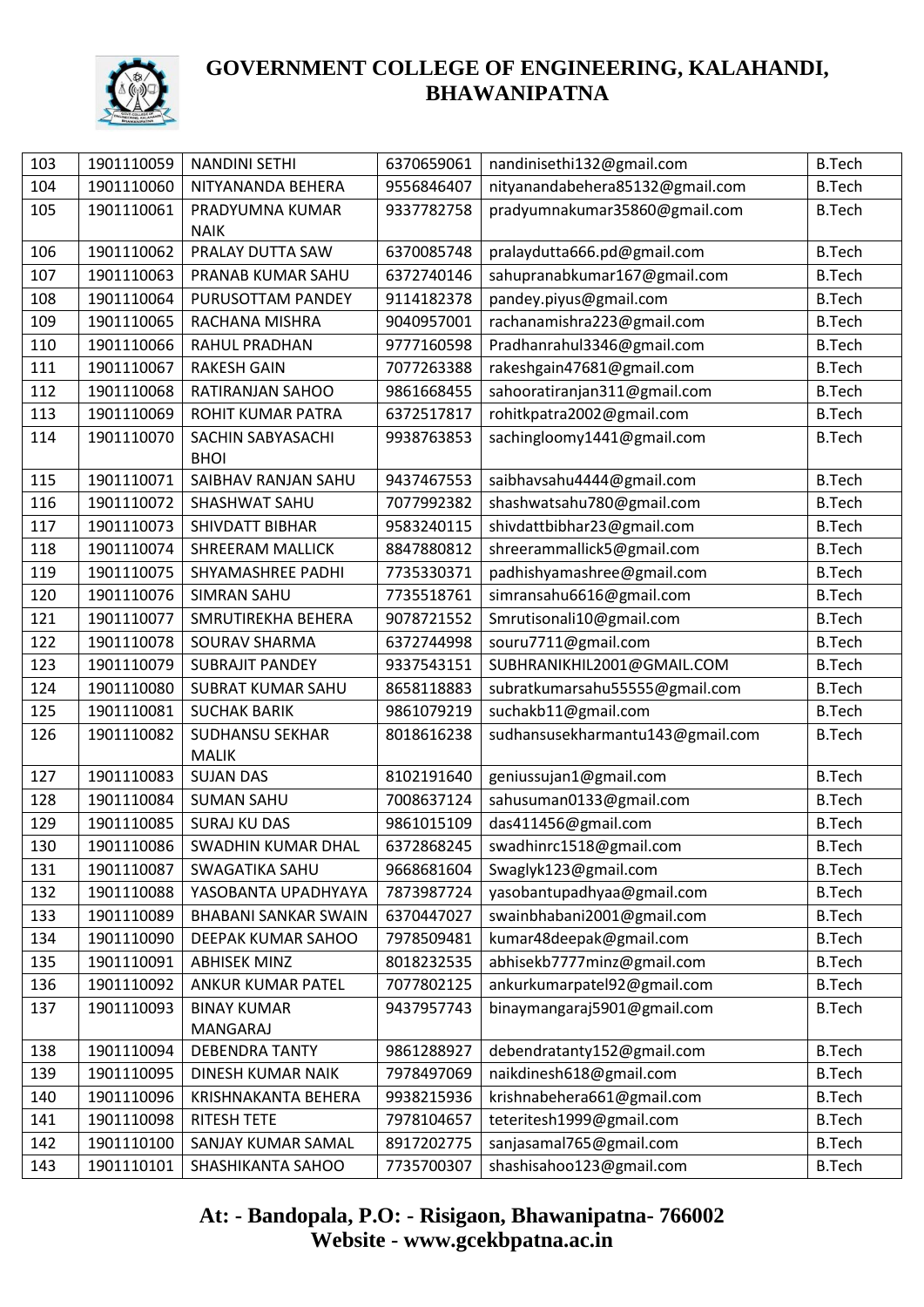

| 103 | 1901110059 | <b>NANDINI SETHI</b>        | 6370659061 | nandinisethi132@gmail.com        | <b>B.Tech</b> |
|-----|------------|-----------------------------|------------|----------------------------------|---------------|
| 104 | 1901110060 | NITYANANDA BEHERA           | 9556846407 | nityanandabehera85132@gmail.com  | <b>B.Tech</b> |
| 105 | 1901110061 | PRADYUMNA KUMAR             | 9337782758 | pradyumnakumar35860@gmail.com    | <b>B.Tech</b> |
|     |            | <b>NAIK</b>                 |            |                                  |               |
| 106 | 1901110062 | PRALAY DUTTA SAW            | 6370085748 | pralaydutta666.pd@gmail.com      | <b>B.Tech</b> |
| 107 | 1901110063 | PRANAB KUMAR SAHU           | 6372740146 | sahupranabkumar167@gmail.com     | <b>B.Tech</b> |
| 108 | 1901110064 | PURUSOTTAM PANDEY           | 9114182378 | pandey.piyus@gmail.com           | <b>B.Tech</b> |
| 109 | 1901110065 | RACHANA MISHRA              | 9040957001 | rachanamishra223@gmail.com       | <b>B.Tech</b> |
| 110 | 1901110066 | <b>RAHUL PRADHAN</b>        | 9777160598 | Pradhanrahul3346@gmail.com       | <b>B.Tech</b> |
| 111 | 1901110067 | <b>RAKESH GAIN</b>          | 7077263388 | rakeshgain47681@gmail.com        | <b>B.Tech</b> |
| 112 | 1901110068 | RATIRANJAN SAHOO            | 9861668455 | sahooratiranjan311@gmail.com     | <b>B.Tech</b> |
| 113 | 1901110069 | ROHIT KUMAR PATRA           | 6372517817 | rohitkpatra2002@gmail.com        | <b>B.Tech</b> |
| 114 | 1901110070 | SACHIN SABYASACHI           | 9938763853 | sachingloomy1441@gmail.com       | <b>B.Tech</b> |
|     |            | <b>BHOI</b>                 |            |                                  |               |
| 115 | 1901110071 | SAIBHAV RANJAN SAHU         | 9437467553 | saibhavsahu4444@gmail.com        | <b>B.Tech</b> |
| 116 | 1901110072 | SHASHWAT SAHU               | 7077992382 | shashwatsahu780@gmail.com        | <b>B.Tech</b> |
| 117 | 1901110073 | <b>SHIVDATT BIBHAR</b>      | 9583240115 | shivdattbibhar23@gmail.com       | <b>B.Tech</b> |
| 118 | 1901110074 | <b>SHREERAM MALLICK</b>     | 8847880812 | shreerammallick5@gmail.com       | <b>B.Tech</b> |
| 119 | 1901110075 | SHYAMASHREE PADHI           | 7735330371 | padhishyamashree@gmail.com       | <b>B.Tech</b> |
| 120 | 1901110076 | <b>SIMRAN SAHU</b>          | 7735518761 | simransahu6616@gmail.com         | <b>B.Tech</b> |
| 121 | 1901110077 | SMRUTIREKHA BEHERA          | 9078721552 | Smrutisonali10@gmail.com         | <b>B.Tech</b> |
| 122 | 1901110078 | SOURAV SHARMA               | 6372744998 | souru7711@gmail.com              | <b>B.Tech</b> |
| 123 | 1901110079 | <b>SUBRAJIT PANDEY</b>      | 9337543151 | SUBHRANIKHIL2001@GMAIL.COM       | <b>B.Tech</b> |
| 124 | 1901110080 | <b>SUBRAT KUMAR SAHU</b>    | 8658118883 | subratkumarsahu55555@gmail.com   | <b>B.Tech</b> |
| 125 | 1901110081 | <b>SUCHAK BARIK</b>         | 9861079219 | suchakb11@gmail.com              | <b>B.Tech</b> |
| 126 | 1901110082 | <b>SUDHANSU SEKHAR</b>      | 8018616238 | sudhansusekharmantu143@gmail.com | <b>B.Tech</b> |
|     |            | <b>MALIK</b>                |            |                                  |               |
| 127 | 1901110083 | <b>SUJAN DAS</b>            | 8102191640 | geniussujan1@gmail.com           | <b>B.Tech</b> |
| 128 | 1901110084 | <b>SUMAN SAHU</b>           | 7008637124 | sahusuman0133@gmail.com          | <b>B.Tech</b> |
| 129 | 1901110085 | <b>SURAJ KU DAS</b>         | 9861015109 | das411456@gmail.com              | <b>B.Tech</b> |
| 130 | 1901110086 | SWADHIN KUMAR DHAL          | 6372868245 | swadhinrc1518@gmail.com          | <b>B.Tech</b> |
| 131 | 1901110087 | <b>SWAGATIKA SAHU</b>       | 9668681604 | Swaglyk123@gmail.com             | <b>B.Tech</b> |
| 132 | 1901110088 | YASOBANTA UPADHYAYA         | 7873987724 | yasobantupadhyaa@gmail.com       | <b>B.Tech</b> |
| 133 | 1901110089 | <b>BHABANI SANKAR SWAIN</b> | 6370447027 | swainbhabani2001@gmail.com       | <b>B.Tech</b> |
| 134 | 1901110090 | DEEPAK KUMAR SAHOO          | 7978509481 | kumar48deepak@gmail.com          | <b>B.Tech</b> |
| 135 | 1901110091 | <b>ABHISEK MINZ</b>         | 8018232535 | abhisekb7777minz@gmail.com       | <b>B.Tech</b> |
| 136 | 1901110092 | ANKUR KUMAR PATEL           | 7077802125 | ankurkumarpatel92@gmail.com      | <b>B.Tech</b> |
| 137 | 1901110093 | <b>BINAY KUMAR</b>          | 9437957743 | binaymangaraj5901@gmail.com      | <b>B.Tech</b> |
|     |            | MANGARAJ                    |            |                                  |               |
| 138 | 1901110094 | <b>DEBENDRA TANTY</b>       | 9861288927 | debendratanty152@gmail.com       | <b>B.Tech</b> |
| 139 | 1901110095 | <b>DINESH KUMAR NAIK</b>    | 7978497069 | naikdinesh618@gmail.com          | <b>B.Tech</b> |
| 140 | 1901110096 | KRISHNAKANTA BEHERA         | 9938215936 | krishnabehera661@gmail.com       | <b>B.Tech</b> |
| 141 | 1901110098 | <b>RITESH TETE</b>          | 7978104657 | teteritesh1999@gmail.com         | <b>B.Tech</b> |
| 142 | 1901110100 | SANJAY KUMAR SAMAL          | 8917202775 | sanjasamal765@gmail.com          | <b>B.Tech</b> |
| 143 | 1901110101 | SHASHIKANTA SAHOO           | 7735700307 | shashisahoo123@gmail.com         | <b>B.Tech</b> |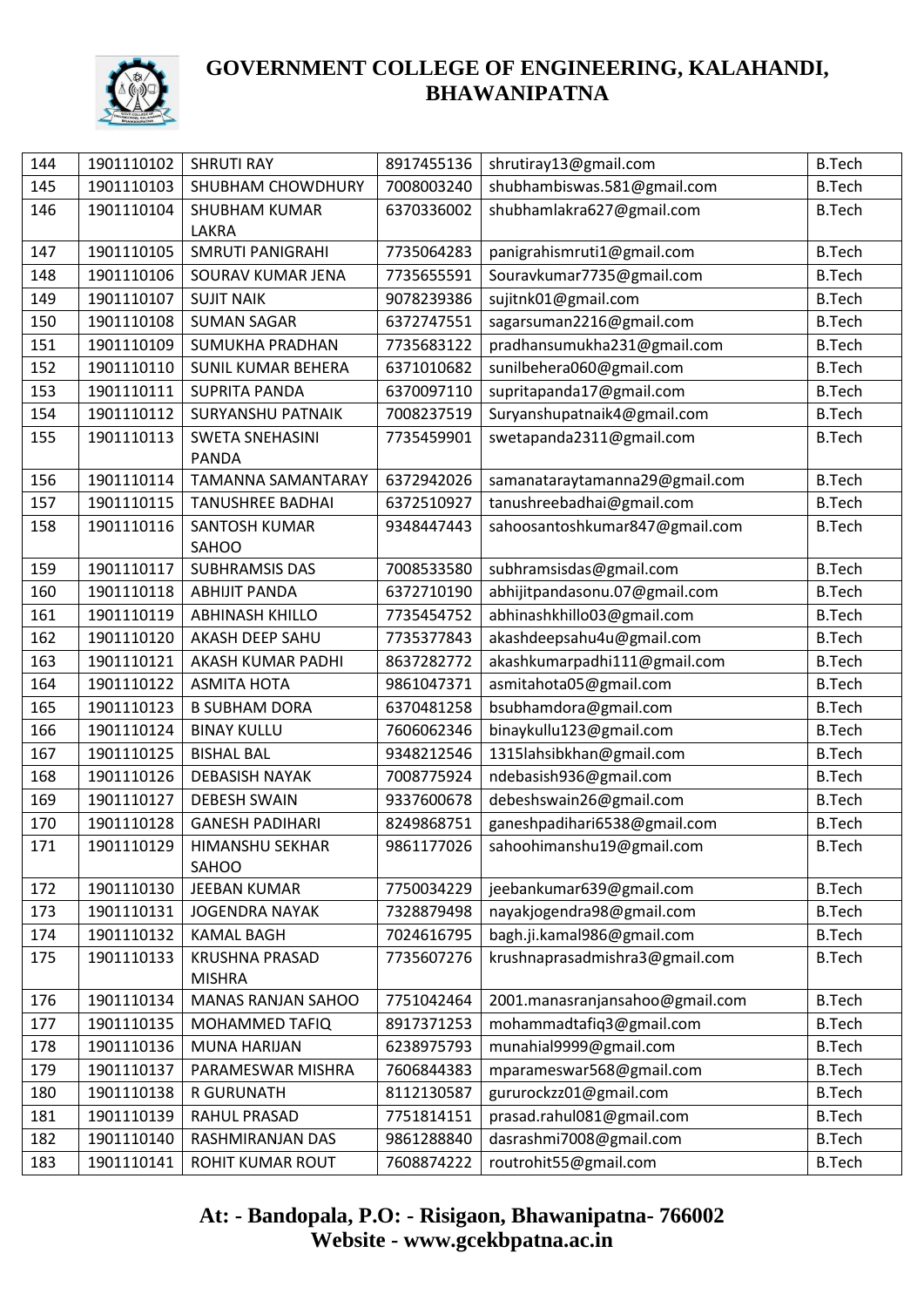

| 144 | 1901110102 | <b>SHRUTI RAY</b>         | 8917455136 | shrutiray13@gmail.com           | <b>B.Tech</b> |
|-----|------------|---------------------------|------------|---------------------------------|---------------|
| 145 | 1901110103 | SHUBHAM CHOWDHURY         | 7008003240 | shubhambiswas.581@gmail.com     | <b>B.Tech</b> |
| 146 | 1901110104 | <b>SHUBHAM KUMAR</b>      | 6370336002 | shubhamlakra627@gmail.com       | <b>B.Tech</b> |
|     |            | LAKRA                     |            |                                 |               |
| 147 | 1901110105 | <b>SMRUTI PANIGRAHI</b>   | 7735064283 | panigrahismruti1@gmail.com      | <b>B.Tech</b> |
| 148 | 1901110106 | SOURAV KUMAR JENA         | 7735655591 | Souravkumar7735@gmail.com       | <b>B.Tech</b> |
| 149 | 1901110107 | <b>SUJIT NAIK</b>         | 9078239386 | sujitnk01@gmail.com             | <b>B.Tech</b> |
| 150 | 1901110108 | <b>SUMAN SAGAR</b>        | 6372747551 | sagarsuman2216@gmail.com        | <b>B.Tech</b> |
| 151 | 1901110109 | <b>SUMUKHA PRADHAN</b>    | 7735683122 | pradhansumukha231@gmail.com     | <b>B.Tech</b> |
| 152 | 1901110110 | <b>SUNIL KUMAR BEHERA</b> | 6371010682 | sunilbehera060@gmail.com        | <b>B.Tech</b> |
| 153 | 1901110111 | <b>SUPRITA PANDA</b>      | 6370097110 | supritapanda17@gmail.com        | <b>B.Tech</b> |
| 154 | 1901110112 | <b>SURYANSHU PATNAIK</b>  | 7008237519 | Suryanshupatnaik4@gmail.com     | <b>B.Tech</b> |
| 155 | 1901110113 | <b>SWETA SNEHASINI</b>    | 7735459901 | swetapanda2311@gmail.com        | <b>B.Tech</b> |
|     |            | <b>PANDA</b>              |            |                                 |               |
| 156 | 1901110114 | <b>TAMANNA SAMANTARAY</b> | 6372942026 | samanataraytamanna29@gmail.com  | <b>B.Tech</b> |
| 157 | 1901110115 | <b>TANUSHREE BADHAI</b>   | 6372510927 | tanushreebadhai@gmail.com       | <b>B.Tech</b> |
| 158 | 1901110116 | <b>SANTOSH KUMAR</b>      | 9348447443 | sahoosantoshkumar847@gmail.com  | <b>B.Tech</b> |
|     |            | SAHOO                     |            |                                 |               |
| 159 | 1901110117 | <b>SUBHRAMSIS DAS</b>     | 7008533580 | subhramsisdas@gmail.com         | <b>B.Tech</b> |
| 160 | 1901110118 | <b>ABHIJIT PANDA</b>      | 6372710190 | abhijitpandasonu.07@gmail.com   | <b>B.Tech</b> |
| 161 | 1901110119 | <b>ABHINASH KHILLO</b>    | 7735454752 | abhinashkhillo03@gmail.com      | <b>B.Tech</b> |
| 162 | 1901110120 | AKASH DEEP SAHU           | 7735377843 | akashdeepsahu4u@gmail.com       | <b>B.Tech</b> |
| 163 | 1901110121 | AKASH KUMAR PADHI         | 8637282772 | akashkumarpadhi111@gmail.com    | <b>B.Tech</b> |
| 164 | 1901110122 | <b>ASMITA HOTA</b>        | 9861047371 | asmitahota05@gmail.com          | <b>B.Tech</b> |
| 165 | 1901110123 | <b>B SUBHAM DORA</b>      | 6370481258 | bsubhamdora@gmail.com           | <b>B.Tech</b> |
| 166 | 1901110124 | <b>BINAY KULLU</b>        | 7606062346 | binaykullu123@gmail.com         | <b>B.Tech</b> |
| 167 | 1901110125 | <b>BISHAL BAL</b>         | 9348212546 | 1315lahsibkhan@gmail.com        | <b>B.Tech</b> |
| 168 | 1901110126 | <b>DEBASISH NAYAK</b>     | 7008775924 | ndebasish936@gmail.com          | <b>B.Tech</b> |
| 169 | 1901110127 | <b>DEBESH SWAIN</b>       | 9337600678 | debeshswain26@gmail.com         | <b>B.Tech</b> |
| 170 | 1901110128 | <b>GANESH PADIHARI</b>    | 8249868751 | ganeshpadihari6538@gmail.com    | <b>B.Tech</b> |
| 171 | 1901110129 | HIMANSHU SEKHAR<br>SAHOO  | 9861177026 | sahoohimanshu19@gmail.com       | <b>B.Tech</b> |
| 172 | 1901110130 | <b>JEEBAN KUMAR</b>       | 7750034229 | jeebankumar639@gmail.com        | <b>B.Tech</b> |
| 173 | 1901110131 | <b>JOGENDRA NAYAK</b>     | 7328879498 | nayakjogendra98@gmail.com       | <b>B.Tech</b> |
| 174 | 1901110132 | <b>KAMAL BAGH</b>         | 7024616795 | bagh.ji.kamal986@gmail.com      | <b>B.Tech</b> |
| 175 | 1901110133 | <b>KRUSHNA PRASAD</b>     | 7735607276 | krushnaprasadmishra3@gmail.com  | <b>B.Tech</b> |
|     |            | <b>MISHRA</b>             |            |                                 |               |
| 176 | 1901110134 | <b>MANAS RANJAN SAHOO</b> | 7751042464 | 2001.manasranjansahoo@gmail.com | <b>B.Tech</b> |
| 177 | 1901110135 | MOHAMMED TAFIQ            | 8917371253 | mohammadtafiq3@gmail.com        | <b>B.Tech</b> |
| 178 | 1901110136 | <b>MUNA HARIJAN</b>       | 6238975793 | munahial9999@gmail.com          | <b>B.Tech</b> |
| 179 | 1901110137 | PARAMESWAR MISHRA         | 7606844383 | mparameswar568@gmail.com        | <b>B.Tech</b> |
| 180 | 1901110138 | R GURUNATH                | 8112130587 | gururockzz01@gmail.com          | <b>B.Tech</b> |
| 181 | 1901110139 | RAHUL PRASAD              | 7751814151 | prasad.rahul081@gmail.com       | <b>B.Tech</b> |
| 182 | 1901110140 | RASHMIRANJAN DAS          | 9861288840 | dasrashmi7008@gmail.com         | <b>B.Tech</b> |
| 183 | 1901110141 | ROHIT KUMAR ROUT          | 7608874222 | routrohit55@gmail.com           | <b>B.Tech</b> |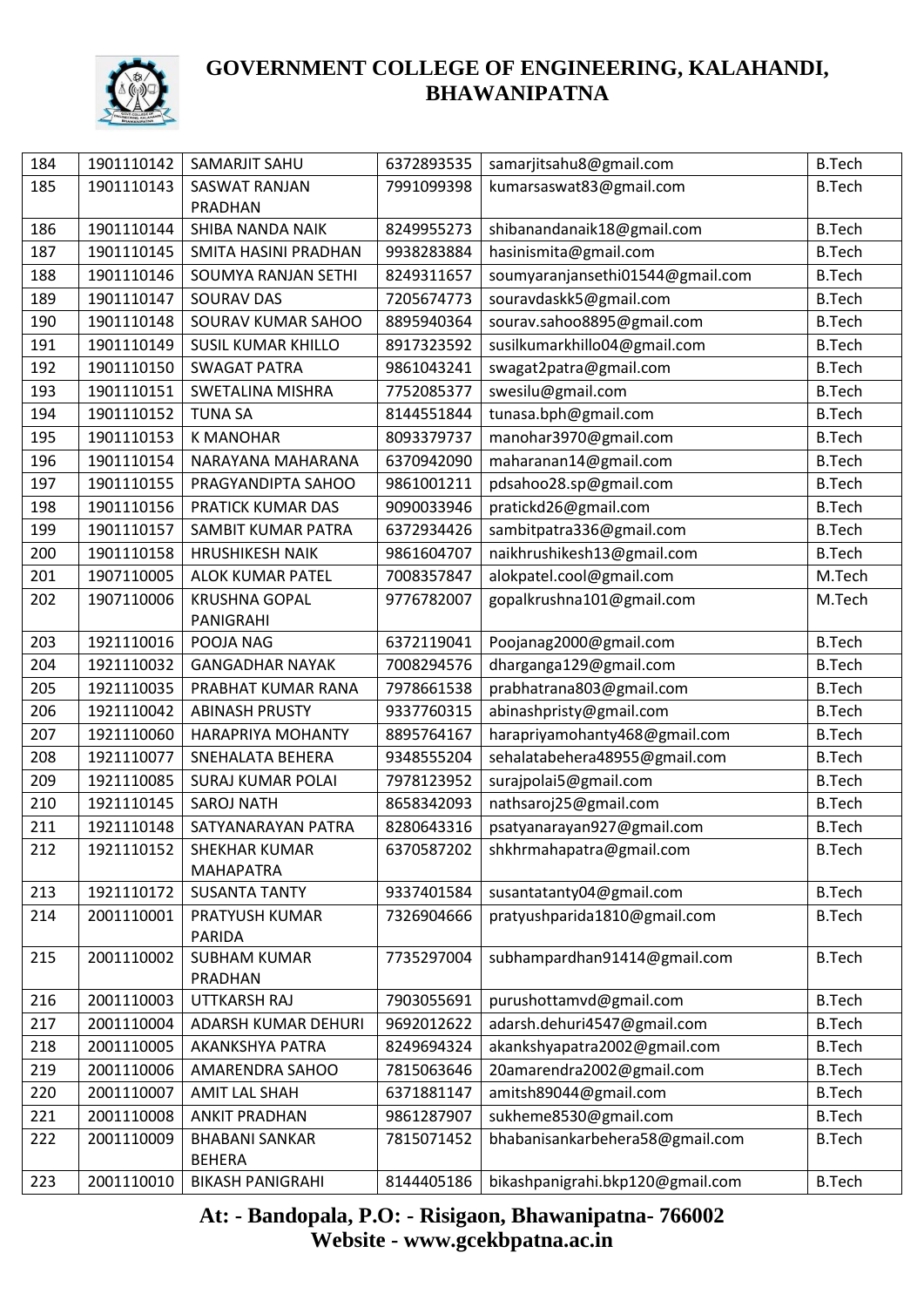

| 184        | 1901110142               | SAMARJIT SAHU                            | 6372893535               | samarjitsahu8@gmail.com          | <b>B.Tech</b> |
|------------|--------------------------|------------------------------------------|--------------------------|----------------------------------|---------------|
| 185        | 1901110143               | <b>SASWAT RANJAN</b>                     | 7991099398               | kumarsaswat83@gmail.com          | <b>B.Tech</b> |
|            |                          | PRADHAN                                  |                          |                                  |               |
| 186        | 1901110144               | SHIBA NANDA NAIK                         | 8249955273               | shibanandanaik18@gmail.com       | <b>B.Tech</b> |
| 187        | 1901110145               | <b>SMITA HASINI PRADHAN</b>              | 9938283884               | hasinismita@gmail.com            | <b>B.Tech</b> |
| 188        | 1901110146               | SOUMYA RANJAN SETHI                      | 8249311657               | soumyaranjansethi01544@gmail.com | <b>B.Tech</b> |
| 189        | 1901110147               | <b>SOURAV DAS</b>                        | 7205674773               | souravdaskk5@gmail.com           | <b>B.Tech</b> |
| 190        | 1901110148               | SOURAV KUMAR SAHOO                       | 8895940364               | sourav.sahoo8895@gmail.com       | <b>B.Tech</b> |
| 191        | 1901110149               | <b>SUSIL KUMAR KHILLO</b>                | 8917323592               | susilkumarkhillo04@gmail.com     | <b>B.Tech</b> |
| 192        | 1901110150               | <b>SWAGAT PATRA</b>                      | 9861043241               | swagat2patra@gmail.com           | <b>B.Tech</b> |
| 193        | 1901110151               | <b>SWETALINA MISHRA</b>                  | 7752085377               | swesilu@gmail.com                | <b>B.Tech</b> |
| 194        | 1901110152               | <b>TUNA SA</b>                           | 8144551844               | tunasa.bph@gmail.com             | <b>B.Tech</b> |
| 195        | 1901110153               | <b>K MANOHAR</b>                         | 8093379737               | manohar3970@gmail.com            | <b>B.Tech</b> |
| 196        | 1901110154               | NARAYANA MAHARANA                        | 6370942090               | maharanan14@gmail.com            | <b>B.Tech</b> |
| 197        | 1901110155               | PRAGYANDIPTA SAHOO                       | 9861001211               | pdsahoo28.sp@gmail.com           | <b>B.Tech</b> |
| 198        | 1901110156               | PRATICK KUMAR DAS                        | 9090033946               | pratickd26@gmail.com             | <b>B.Tech</b> |
| 199        | 1901110157               | SAMBIT KUMAR PATRA                       | 6372934426               | sambitpatra336@gmail.com         | <b>B.Tech</b> |
| 200        | 1901110158               | <b>HRUSHIKESH NAIK</b>                   | 9861604707               | naikhrushikesh13@gmail.com       | <b>B.Tech</b> |
| 201        | 1907110005               | <b>ALOK KUMAR PATEL</b>                  | 7008357847               | alokpatel.cool@gmail.com         | M.Tech        |
| 202        | 1907110006               | <b>KRUSHNA GOPAL</b>                     | 9776782007               | gopalkrushna101@gmail.com        | M.Tech        |
| 203        | 1921110016               | PANIGRAHI<br>POOJA NAG                   | 6372119041               | Poojanag2000@gmail.com           | <b>B.Tech</b> |
| 204        | 1921110032               | <b>GANGADHAR NAYAK</b>                   | 7008294576               | dharganga129@gmail.com           | <b>B.Tech</b> |
| 205        | 1921110035               | PRABHAT KUMAR RANA                       |                          |                                  |               |
|            |                          |                                          | 7978661538               | prabhatrana803@gmail.com         | <b>B.Tech</b> |
| 206<br>207 | 1921110042<br>1921110060 | <b>ABINASH PRUSTY</b>                    | 9337760315<br>8895764167 | abinashpristy@gmail.com          | <b>B.Tech</b> |
|            |                          | <b>HARAPRIYA MOHANTY</b>                 |                          | harapriyamohanty468@gmail.com    | <b>B.Tech</b> |
| 208        | 1921110077               | SNEHALATA BEHERA                         | 9348555204               | sehalatabehera48955@gmail.com    | <b>B.Tech</b> |
| 209        | 1921110085               | <b>SURAJ KUMAR POLAI</b>                 | 7978123952               | surajpolai5@gmail.com            | <b>B.Tech</b> |
| 210        | 1921110145               | <b>SAROJ NATH</b>                        | 8658342093               | nathsaroj25@gmail.com            | <b>B.Tech</b> |
| 211        | 1921110148               | SATYANARAYAN PATRA                       | 8280643316               | psatyanarayan927@gmail.com       | <b>B.Tech</b> |
| 212        |                          | 1921110152   SHEKHAR KUMAR               | 6370587202               | shkhrmahapatra@gmail.com         | <b>B.Tech</b> |
| 213        | 1921110172               | <b>MAHAPATRA</b><br><b>SUSANTA TANTY</b> | 9337401584               | susantatanty04@gmail.com         | <b>B.Tech</b> |
| 214        | 2001110001               | PRATYUSH KUMAR                           | 7326904666               | pratyushparida1810@gmail.com     | <b>B.Tech</b> |
|            |                          | PARIDA                                   |                          |                                  |               |
| 215        | 2001110002               | <b>SUBHAM KUMAR</b><br>PRADHAN           | 7735297004               | subhampardhan91414@gmail.com     | <b>B.Tech</b> |
| 216        | 2001110003               | UTTKARSH RAJ                             | 7903055691               | purushottamvd@gmail.com          | <b>B.Tech</b> |
| 217        | 2001110004               | ADARSH KUMAR DEHURI                      | 9692012622               | adarsh.dehuri4547@gmail.com      | <b>B.Tech</b> |
| 218        | 2001110005               | AKANKSHYA PATRA                          | 8249694324               | akankshyapatra2002@gmail.com     | <b>B.Tech</b> |
| 219        | 2001110006               | AMARENDRA SAHOO                          | 7815063646               | 20amarendra2002@gmail.com        | <b>B.Tech</b> |
| 220        | 2001110007               | <b>AMIT LAL SHAH</b>                     | 6371881147               | amitsh89044@gmail.com            | <b>B.Tech</b> |
| 221        | 2001110008               | <b>ANKIT PRADHAN</b>                     | 9861287907               | sukheme8530@gmail.com            | <b>B.Tech</b> |
| 222        | 2001110009               | <b>BHABANI SANKAR</b>                    | 7815071452               | bhabanisankarbehera58@gmail.com  | <b>B.Tech</b> |
|            |                          | <b>BEHERA</b>                            |                          |                                  |               |
| 223        | 2001110010               | <b>BIKASH PANIGRAHI</b>                  | 8144405186               | bikashpanigrahi.bkp120@gmail.com | <b>B.Tech</b> |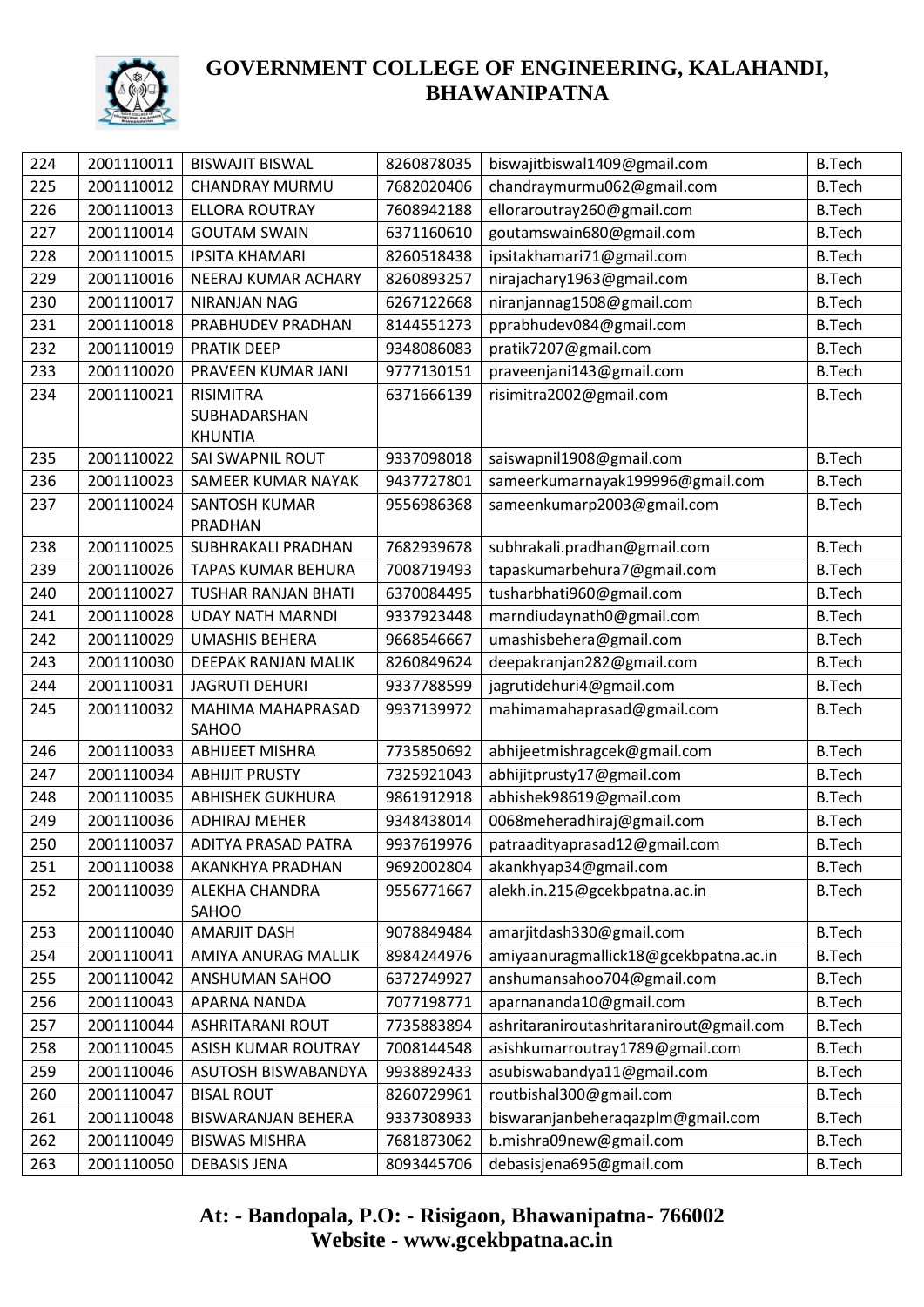

| 224 | 2001110011 | <b>BISWAJIT BISWAL</b>             | 8260878035 | biswajitbiswal1409@gmail.com                                 | <b>B.Tech</b> |
|-----|------------|------------------------------------|------------|--------------------------------------------------------------|---------------|
| 225 | 2001110012 | <b>CHANDRAY MURMU</b>              | 7682020406 | chandraymurmu062@gmail.com                                   | <b>B.Tech</b> |
| 226 | 2001110013 | <b>ELLORA ROUTRAY</b>              | 7608942188 | elloraroutray260@gmail.com                                   | <b>B.Tech</b> |
| 227 | 2001110014 | <b>GOUTAM SWAIN</b>                | 6371160610 | goutamswain680@gmail.com                                     | <b>B.Tech</b> |
| 228 | 2001110015 | <b>IPSITA KHAMARI</b>              | 8260518438 | ipsitakhamari71@gmail.com                                    | <b>B.Tech</b> |
| 229 | 2001110016 | NEERAJ KUMAR ACHARY                | 8260893257 | nirajachary1963@gmail.com                                    | <b>B.Tech</b> |
| 230 | 2001110017 | NIRANJAN NAG                       | 6267122668 | niranjannag1508@gmail.com                                    | <b>B.Tech</b> |
| 231 | 2001110018 | PRABHUDEV PRADHAN                  | 8144551273 | pprabhudev084@gmail.com                                      | <b>B.Tech</b> |
| 232 | 2001110019 | <b>PRATIK DEEP</b>                 | 9348086083 | pratik7207@gmail.com                                         | <b>B.Tech</b> |
| 233 | 2001110020 | PRAVEEN KUMAR JANI                 | 9777130151 | praveenjani143@gmail.com                                     | <b>B.Tech</b> |
| 234 | 2001110021 | <b>RISIMITRA</b>                   | 6371666139 | risimitra2002@gmail.com                                      | <b>B.Tech</b> |
|     |            | SUBHADARSHAN                       |            |                                                              |               |
| 235 | 2001110022 | <b>KHUNTIA</b><br>SAI SWAPNIL ROUT | 9337098018 |                                                              | <b>B.Tech</b> |
|     |            |                                    |            | saiswapnil1908@gmail.com<br>sameerkumarnayak199996@gmail.com | <b>B.Tech</b> |
| 236 | 2001110023 | SAMEER KUMAR NAYAK                 | 9437727801 |                                                              |               |
| 237 | 2001110024 | SANTOSH KUMAR<br>PRADHAN           | 9556986368 | sameenkumarp2003@gmail.com                                   | <b>B.Tech</b> |
| 238 | 2001110025 | SUBHRAKALI PRADHAN                 | 7682939678 | subhrakali.pradhan@gmail.com                                 | <b>B.Tech</b> |
| 239 | 2001110026 | <b>TAPAS KUMAR BEHURA</b>          | 7008719493 | tapaskumarbehura7@gmail.com                                  | <b>B.Tech</b> |
| 240 | 2001110027 | TUSHAR RANJAN BHATI                | 6370084495 | tusharbhati960@gmail.com                                     | <b>B.Tech</b> |
| 241 | 2001110028 | <b>UDAY NATH MARNDI</b>            | 9337923448 | marndiudaynath0@gmail.com                                    | <b>B.Tech</b> |
| 242 | 2001110029 | <b>UMASHIS BEHERA</b>              | 9668546667 | umashisbehera@gmail.com                                      | <b>B.Tech</b> |
| 243 | 2001110030 | DEEPAK RANJAN MALIK                | 8260849624 | deepakranjan282@gmail.com                                    | <b>B.Tech</b> |
| 244 | 2001110031 | <b>JAGRUTI DEHURI</b>              | 9337788599 | jagrutidehuri4@gmail.com                                     | <b>B.Tech</b> |
| 245 | 2001110032 | MAHIMA MAHAPRASAD                  | 9937139972 | mahimamahaprasad@gmail.com                                   | <b>B.Tech</b> |
|     |            | <b>SAHOO</b>                       |            |                                                              |               |
| 246 | 2001110033 | <b>ABHIJEET MISHRA</b>             | 7735850692 | abhijeetmishragcek@gmail.com                                 | <b>B.Tech</b> |
| 247 | 2001110034 | <b>ABHIJIT PRUSTY</b>              | 7325921043 | abhijitprusty17@gmail.com                                    | <b>B.Tech</b> |
| 248 | 2001110035 | <b>ABHISHEK GUKHURA</b>            | 9861912918 | abhishek98619@gmail.com                                      | <b>B.Tech</b> |
| 249 | 2001110036 | <b>ADHIRAJ MEHER</b>               | 9348438014 | 0068meheradhiraj@gmail.com                                   | <b>B.Tech</b> |
| 250 | 2001110037 | ADITYA PRASAD PATRA                | 9937619976 | patraadityaprasad12@gmail.com                                | <b>B.Tech</b> |
| 251 | 2001110038 | AKANKHYA PRADHAN                   | 9692002804 | akankhyap34@gmail.com                                        | <b>B.Tech</b> |
| 252 | 2001110039 | <b>ALEKHA CHANDRA</b><br>SAHOO     | 9556771667 | alekh.in.215@gcekbpatna.ac.in                                | <b>B.Tech</b> |
| 253 | 2001110040 | <b>AMARJIT DASH</b>                | 9078849484 | amarjitdash330@gmail.com                                     | <b>B.Tech</b> |
| 254 | 2001110041 | AMIYA ANURAG MALLIK                | 8984244976 | amiyaanuragmallick18@gcekbpatna.ac.in                        | <b>B.Tech</b> |
| 255 | 2001110042 | ANSHUMAN SAHOO                     | 6372749927 | anshumansahoo704@gmail.com                                   | <b>B.Tech</b> |
| 256 | 2001110043 | APARNA NANDA                       | 7077198771 | aparnananda10@gmail.com                                      | <b>B.Tech</b> |
| 257 | 2001110044 | <b>ASHRITARANI ROUT</b>            | 7735883894 | ashritaraniroutashritaranirout@gmail.com                     | <b>B.Tech</b> |
| 258 | 2001110045 | <b>ASISH KUMAR ROUTRAY</b>         | 7008144548 | asishkumarroutray1789@gmail.com                              | <b>B.Tech</b> |
| 259 | 2001110046 | ASUTOSH BISWABANDYA                | 9938892433 | asubiswabandya11@gmail.com                                   | <b>B.Tech</b> |
| 260 | 2001110047 | <b>BISAL ROUT</b>                  | 8260729961 | routbishal300@gmail.com                                      | <b>B.Tech</b> |
| 261 | 2001110048 | <b>BISWARANJAN BEHERA</b>          | 9337308933 | biswaranjanbeheraqazplm@gmail.com                            | <b>B.Tech</b> |
| 262 | 2001110049 | <b>BISWAS MISHRA</b>               | 7681873062 | b.mishra09new@gmail.com                                      | <b>B.Tech</b> |
| 263 | 2001110050 | <b>DEBASIS JENA</b>                | 8093445706 | debasisjena695@gmail.com                                     | <b>B.Tech</b> |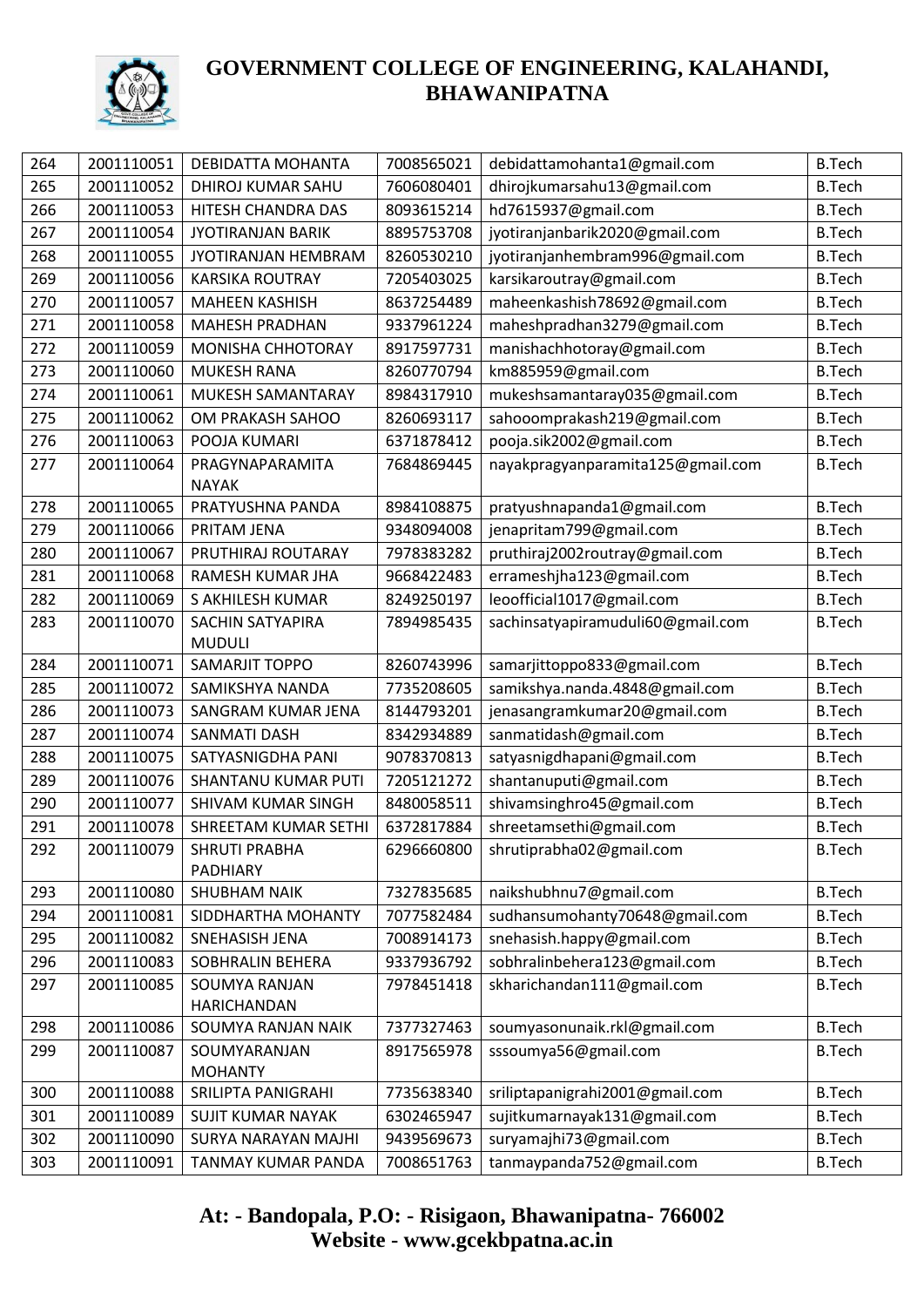

| 264 | 2001110051 | DEBIDATTA MOHANTA                      | 7008565021 | debidattamohanta1@gmail.com       | <b>B.Tech</b> |
|-----|------------|----------------------------------------|------------|-----------------------------------|---------------|
| 265 | 2001110052 | DHIROJ KUMAR SAHU                      | 7606080401 | dhirojkumarsahu13@gmail.com       | <b>B.Tech</b> |
| 266 | 2001110053 | HITESH CHANDRA DAS                     | 8093615214 | hd7615937@gmail.com               | <b>B.Tech</b> |
| 267 | 2001110054 | <b>JYOTIRANJAN BARIK</b>               | 8895753708 | jyotiranjanbarik2020@gmail.com    | <b>B.Tech</b> |
| 268 | 2001110055 | JYOTIRANJAN HEMBRAM                    | 8260530210 | jyotiranjanhembram996@gmail.com   | <b>B.Tech</b> |
| 269 | 2001110056 | <b>KARSIKA ROUTRAY</b>                 | 7205403025 | karsikaroutray@gmail.com          | <b>B.Tech</b> |
| 270 | 2001110057 | <b>MAHEEN KASHISH</b>                  | 8637254489 | maheenkashish78692@gmail.com      | <b>B.Tech</b> |
| 271 | 2001110058 | <b>MAHESH PRADHAN</b>                  | 9337961224 | maheshpradhan3279@gmail.com       | <b>B.Tech</b> |
| 272 | 2001110059 | MONISHA CHHOTORAY                      | 8917597731 | manishachhotoray@gmail.com        | <b>B.Tech</b> |
| 273 | 2001110060 | <b>MUKESH RANA</b>                     | 8260770794 | km885959@gmail.com                | <b>B.Tech</b> |
| 274 | 2001110061 | MUKESH SAMANTARAY                      | 8984317910 | mukeshsamantaray035@gmail.com     | <b>B.Tech</b> |
| 275 | 2001110062 | OM PRAKASH SAHOO                       | 8260693117 | sahooomprakash219@gmail.com       | <b>B.Tech</b> |
| 276 | 2001110063 | POOJA KUMARI                           | 6371878412 | pooja.sik2002@gmail.com           | <b>B.Tech</b> |
| 277 | 2001110064 | PRAGYNAPARAMITA<br><b>NAYAK</b>        | 7684869445 | nayakpragyanparamita125@gmail.com | <b>B.Tech</b> |
| 278 | 2001110065 | PRATYUSHNA PANDA                       | 8984108875 | pratyushnapanda1@gmail.com        | <b>B.Tech</b> |
| 279 | 2001110066 | PRITAM JENA                            | 9348094008 | jenapritam799@gmail.com           | <b>B.Tech</b> |
| 280 | 2001110067 | PRUTHIRAJ ROUTARAY                     | 7978383282 | pruthiraj2002routray@gmail.com    | <b>B.Tech</b> |
| 281 | 2001110068 | RAMESH KUMAR JHA                       | 9668422483 | errameshjha123@gmail.com          | <b>B.Tech</b> |
| 282 | 2001110069 | S AKHILESH KUMAR                       | 8249250197 | leoofficial1017@gmail.com         | <b>B.Tech</b> |
| 283 | 2001110070 | <b>SACHIN SATYAPIRA</b>                | 7894985435 | sachinsatyapiramuduli60@gmail.com | <b>B.Tech</b> |
|     |            | <b>MUDULI</b>                          |            |                                   |               |
| 284 | 2001110071 | SAMARJIT TOPPO                         | 8260743996 | samarjittoppo833@gmail.com        | <b>B.Tech</b> |
| 285 | 2001110072 | SAMIKSHYA NANDA                        | 7735208605 | samikshya.nanda.4848@gmail.com    | <b>B.Tech</b> |
| 286 | 2001110073 | SANGRAM KUMAR JENA                     | 8144793201 | jenasangramkumar20@gmail.com      | <b>B.Tech</b> |
| 287 | 2001110074 | <b>SANMATI DASH</b>                    | 8342934889 | sanmatidash@gmail.com             | <b>B.Tech</b> |
| 288 | 2001110075 | SATYASNIGDHA PANI                      | 9078370813 | satyasnigdhapani@gmail.com        | <b>B.Tech</b> |
| 289 | 2001110076 | SHANTANU KUMAR PUTI                    | 7205121272 | shantanuputi@gmail.com            | <b>B.Tech</b> |
| 290 | 2001110077 | SHIVAM KUMAR SINGH                     | 8480058511 | shivamsinghro45@gmail.com         | <b>B.Tech</b> |
| 291 | 2001110078 | SHREETAM KUMAR SETHI                   | 6372817884 | shreetamsethi@gmail.com           | <b>B.Tech</b> |
| 292 |            | 2001110079   SHRUTI PRABHA<br>PADHIARY | 6296660800 | shrutiprabha02@gmail.com          | <b>B.Tech</b> |
| 293 | 2001110080 | <b>SHUBHAM NAIK</b>                    | 7327835685 | naikshubhnu7@gmail.com            | <b>B.Tech</b> |
| 294 | 2001110081 | SIDDHARTHA MOHANTY                     | 7077582484 | sudhansumohanty70648@gmail.com    | <b>B.Tech</b> |
| 295 | 2001110082 | SNEHASISH JENA                         | 7008914173 | snehasish.happy@gmail.com         | <b>B.Tech</b> |
| 296 | 2001110083 | SOBHRALIN BEHERA                       | 9337936792 | sobhralinbehera123@gmail.com      | <b>B.Tech</b> |
| 297 | 2001110085 | <b>SOUMYA RANJAN</b><br>HARICHANDAN    | 7978451418 | skharichandan111@gmail.com        | <b>B.Tech</b> |
| 298 | 2001110086 | SOUMYA RANJAN NAIK                     | 7377327463 | soumyasonunaik.rkl@gmail.com      | <b>B.Tech</b> |
| 299 | 2001110087 | SOUMYARANJAN                           | 8917565978 | sssoumya56@gmail.com              | <b>B.Tech</b> |
|     |            | <b>MOHANTY</b>                         |            |                                   |               |
| 300 | 2001110088 | SRILIPTA PANIGRAHI                     | 7735638340 | sriliptapanigrahi2001@gmail.com   | <b>B.Tech</b> |
| 301 | 2001110089 | <b>SUJIT KUMAR NAYAK</b>               | 6302465947 | sujitkumarnayak131@gmail.com      | <b>B.Tech</b> |
| 302 | 2001110090 | <b>SURYA NARAYAN MAJHI</b>             | 9439569673 | suryamajhi73@gmail.com            | <b>B.Tech</b> |
| 303 | 2001110091 | TANMAY KUMAR PANDA                     | 7008651763 | tanmaypanda752@gmail.com          | <b>B.Tech</b> |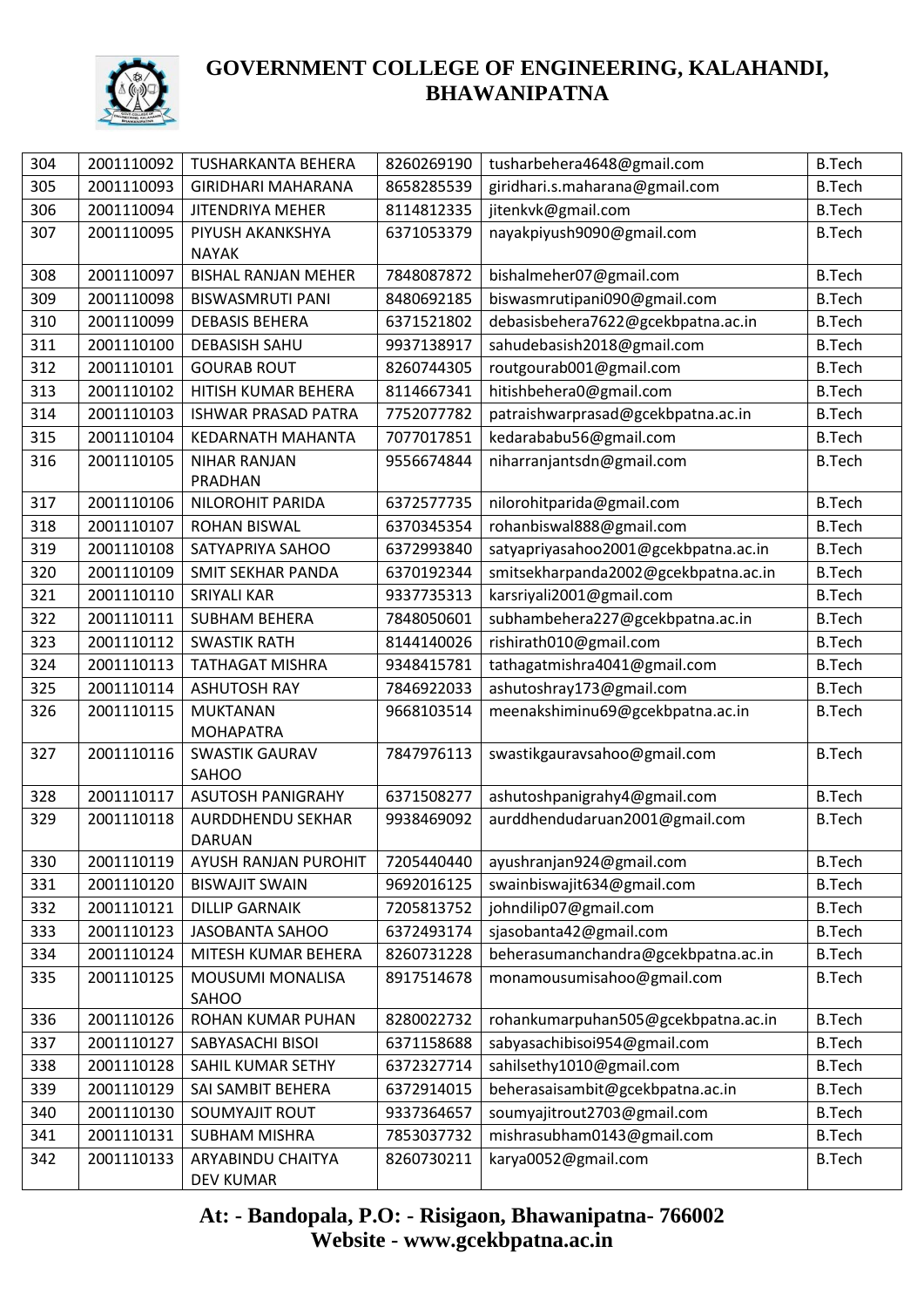

| 304 | 2001110092 | <b>TUSHARKANTA BEHERA</b>          | 8260269190 | tusharbehera4648@gmail.com           | <b>B.Tech</b> |
|-----|------------|------------------------------------|------------|--------------------------------------|---------------|
| 305 | 2001110093 | <b>GIRIDHARI MAHARANA</b>          | 8658285539 | giridhari.s.maharana@gmail.com       | <b>B.Tech</b> |
| 306 | 2001110094 | <b>JITENDRIYA MEHER</b>            | 8114812335 | jitenkvk@gmail.com                   | <b>B.Tech</b> |
| 307 | 2001110095 | PIYUSH AKANKSHYA                   | 6371053379 | nayakpiyush9090@gmail.com            | <b>B.Tech</b> |
|     |            | <b>NAYAK</b>                       |            |                                      |               |
| 308 | 2001110097 | <b>BISHAL RANJAN MEHER</b>         | 7848087872 | bishalmeher07@gmail.com              | <b>B.Tech</b> |
| 309 | 2001110098 | <b>BISWASMRUTI PANI</b>            | 8480692185 | biswasmrutipani090@gmail.com         | <b>B.Tech</b> |
| 310 | 2001110099 | <b>DEBASIS BEHERA</b>              | 6371521802 | debasisbehera7622@gcekbpatna.ac.in   | <b>B.Tech</b> |
| 311 | 2001110100 | <b>DEBASISH SAHU</b>               | 9937138917 | sahudebasish2018@gmail.com           | <b>B.Tech</b> |
| 312 | 2001110101 | <b>GOURAB ROUT</b>                 | 8260744305 | routgourab001@gmail.com              | <b>B.Tech</b> |
| 313 | 2001110102 | HITISH KUMAR BEHERA                | 8114667341 | hitishbehera0@gmail.com              | <b>B.Tech</b> |
| 314 | 2001110103 | <b>ISHWAR PRASAD PATRA</b>         | 7752077782 | patraishwarprasad@gcekbpatna.ac.in   | <b>B.Tech</b> |
| 315 | 2001110104 | KEDARNATH MAHANTA                  | 7077017851 | kedarababu56@gmail.com               | <b>B.Tech</b> |
| 316 | 2001110105 | <b>NIHAR RANJAN</b>                | 9556674844 | niharranjantsdn@gmail.com            | <b>B.Tech</b> |
|     |            | PRADHAN                            |            |                                      |               |
| 317 | 2001110106 | NILOROHIT PARIDA                   | 6372577735 | nilorohitparida@gmail.com            | <b>B.Tech</b> |
| 318 | 2001110107 | <b>ROHAN BISWAL</b>                | 6370345354 | rohanbiswal888@gmail.com             | <b>B.Tech</b> |
| 319 | 2001110108 | SATYAPRIYA SAHOO                   | 6372993840 | satyapriyasahoo2001@gcekbpatna.ac.in | <b>B.Tech</b> |
| 320 | 2001110109 | <b>SMIT SEKHAR PANDA</b>           | 6370192344 | smitsekharpanda2002@gcekbpatna.ac.in | <b>B.Tech</b> |
| 321 | 2001110110 | <b>SRIYALI KAR</b>                 | 9337735313 | karsriyali2001@gmail.com             | <b>B.Tech</b> |
| 322 | 2001110111 | <b>SUBHAM BEHERA</b>               | 7848050601 | subhambehera227@gcekbpatna.ac.in     | <b>B.Tech</b> |
| 323 | 2001110112 | <b>SWASTIK RATH</b>                | 8144140026 | rishirath010@gmail.com               | <b>B.Tech</b> |
| 324 | 2001110113 | <b>TATHAGAT MISHRA</b>             | 9348415781 | tathagatmishra4041@gmail.com         | <b>B.Tech</b> |
| 325 | 2001110114 | <b>ASHUTOSH RAY</b>                | 7846922033 | ashutoshray173@gmail.com             | <b>B.Tech</b> |
| 326 | 2001110115 | <b>MUKTANAN</b>                    | 9668103514 | meenakshiminu69@gcekbpatna.ac.in     | <b>B.Tech</b> |
|     |            | <b>MOHAPATRA</b>                   |            |                                      |               |
| 327 | 2001110116 | <b>SWASTIK GAURAV</b>              | 7847976113 | swastikgauravsahoo@gmail.com         | <b>B.Tech</b> |
|     |            | <b>SAHOO</b>                       |            |                                      |               |
| 328 | 2001110117 | <b>ASUTOSH PANIGRAHY</b>           | 6371508277 | ashutoshpanigrahy4@gmail.com         | <b>B.Tech</b> |
| 329 | 2001110118 | <b>AURDDHENDU SEKHAR</b><br>DARUAN | 9938469092 | aurddhendudaruan2001@gmail.com       | <b>B.Tech</b> |
| 330 | 2001110119 | AYUSH RANJAN PUROHIT               | 7205440440 | ayushranjan924@gmail.com             | <b>B.Tech</b> |
| 331 | 2001110120 | <b>BISWAJIT SWAIN</b>              | 9692016125 | swainbiswajit634@gmail.com           | <b>B.Tech</b> |
| 332 | 2001110121 | <b>DILLIP GARNAIK</b>              | 7205813752 | johndilip07@gmail.com                | <b>B.Tech</b> |
| 333 | 2001110123 | JASOBANTA SAHOO                    | 6372493174 | sjasobanta42@gmail.com               | <b>B.Tech</b> |
| 334 | 2001110124 | MITESH KUMAR BEHERA                | 8260731228 | beherasumanchandra@gcekbpatna.ac.in  | <b>B.Tech</b> |
| 335 | 2001110125 | MOUSUMI MONALISA                   | 8917514678 | monamousumisahoo@gmail.com           | <b>B.Tech</b> |
|     |            | SAHOO                              |            |                                      |               |
| 336 | 2001110126 | ROHAN KUMAR PUHAN                  | 8280022732 | rohankumarpuhan505@gcekbpatna.ac.in  | <b>B.Tech</b> |
| 337 | 2001110127 | SABYASACHI BISOI                   | 6371158688 | sabyasachibisoi954@gmail.com         | <b>B.Tech</b> |
| 338 | 2001110128 | SAHIL KUMAR SETHY                  | 6372327714 | sahilsethy1010@gmail.com             | <b>B.Tech</b> |
| 339 | 2001110129 | SAI SAMBIT BEHERA                  | 6372914015 | beherasaisambit@gcekbpatna.ac.in     | <b>B.Tech</b> |
| 340 | 2001110130 | SOUMYAJIT ROUT                     | 9337364657 | soumyajitrout2703@gmail.com          | <b>B.Tech</b> |
| 341 | 2001110131 | SUBHAM MISHRA                      | 7853037732 | mishrasubham0143@gmail.com           | <b>B.Tech</b> |
| 342 | 2001110133 | ARYABINDU CHAITYA                  | 8260730211 | karya0052@gmail.com                  | <b>B.Tech</b> |
|     |            | DEV KUMAR                          |            |                                      |               |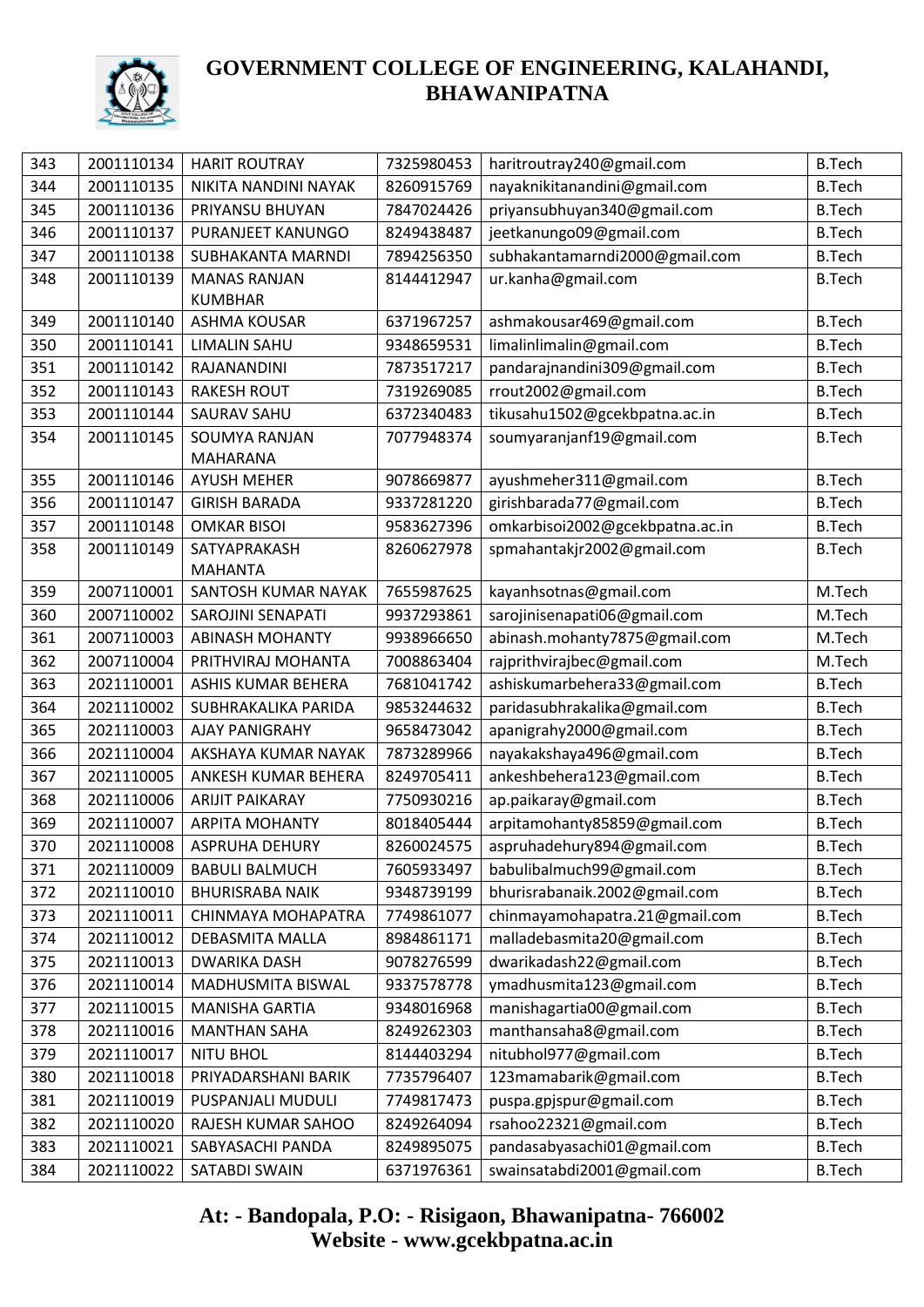

| 343 | 2001110134 | <b>HARIT ROUTRAY</b>      | 7325980453 | haritroutray240@gmail.com       | <b>B.Tech</b> |
|-----|------------|---------------------------|------------|---------------------------------|---------------|
| 344 | 2001110135 | NIKITA NANDINI NAYAK      | 8260915769 | nayaknikitanandini@gmail.com    | <b>B.Tech</b> |
| 345 | 2001110136 | PRIYANSU BHUYAN           | 7847024426 | priyansubhuyan340@gmail.com     | <b>B.Tech</b> |
| 346 | 2001110137 | PURANJEET KANUNGO         | 8249438487 | jeetkanungo09@gmail.com         | <b>B.Tech</b> |
| 347 | 2001110138 | SUBHAKANTA MARNDI         | 7894256350 | subhakantamarndi2000@gmail.com  | <b>B.Tech</b> |
| 348 | 2001110139 | <b>MANAS RANJAN</b>       | 8144412947 | ur.kanha@gmail.com              | <b>B.Tech</b> |
|     |            | <b>KUMBHAR</b>            |            |                                 |               |
| 349 | 2001110140 | ASHMA KOUSAR              | 6371967257 | ashmakousar469@gmail.com        | <b>B.Tech</b> |
| 350 | 2001110141 | <b>LIMALIN SAHU</b>       | 9348659531 | limalinlimalin@gmail.com        | <b>B.Tech</b> |
| 351 | 2001110142 | RAJANANDINI               | 7873517217 | pandarajnandini309@gmail.com    | <b>B.Tech</b> |
| 352 | 2001110143 | <b>RAKESH ROUT</b>        | 7319269085 | rrout2002@gmail.com             | <b>B.Tech</b> |
| 353 | 2001110144 | <b>SAURAV SAHU</b>        | 6372340483 | tikusahu1502@gcekbpatna.ac.in   | <b>B.Tech</b> |
| 354 | 2001110145 | SOUMYA RANJAN             | 7077948374 | soumyaranjanf19@gmail.com       | <b>B.Tech</b> |
|     |            | <b>MAHARANA</b>           |            |                                 |               |
| 355 | 2001110146 | <b>AYUSH MEHER</b>        | 9078669877 | ayushmeher311@gmail.com         | <b>B.Tech</b> |
| 356 | 2001110147 | <b>GIRISH BARADA</b>      | 9337281220 | girishbarada77@gmail.com        | <b>B.Tech</b> |
| 357 | 2001110148 | <b>OMKAR BISOI</b>        | 9583627396 | omkarbisoi2002@gcekbpatna.ac.in | <b>B.Tech</b> |
| 358 | 2001110149 | SATYAPRAKASH              | 8260627978 | spmahantakjr2002@gmail.com      | <b>B.Tech</b> |
|     |            | <b>MAHANTA</b>            |            |                                 |               |
| 359 | 2007110001 | SANTOSH KUMAR NAYAK       | 7655987625 | kayanhsotnas@gmail.com          | M.Tech        |
| 360 | 2007110002 | SAROJINI SENAPATI         | 9937293861 | sarojinisenapati06@gmail.com    | M.Tech        |
| 361 | 2007110003 | <b>ABINASH MOHANTY</b>    | 9938966650 | abinash.mohanty7875@gmail.com   | M.Tech        |
| 362 | 2007110004 | PRITHVIRAJ MOHANTA        | 7008863404 | rajprithvirajbec@gmail.com      | M.Tech        |
| 363 | 2021110001 | <b>ASHIS KUMAR BEHERA</b> | 7681041742 | ashiskumarbehera33@gmail.com    | <b>B.Tech</b> |
| 364 | 2021110002 | SUBHRAKALIKA PARIDA       | 9853244632 | paridasubhrakalika@gmail.com    | <b>B.Tech</b> |
| 365 | 2021110003 | <b>AJAY PANIGRAHY</b>     | 9658473042 | apanigrahy2000@gmail.com        | <b>B.Tech</b> |
| 366 | 2021110004 | AKSHAYA KUMAR NAYAK       | 7873289966 | nayakakshaya496@gmail.com       | <b>B.Tech</b> |
| 367 | 2021110005 | ANKESH KUMAR BEHERA       | 8249705411 | ankeshbehera123@gmail.com       | <b>B.Tech</b> |
| 368 | 2021110006 | <b>ARIJIT PAIKARAY</b>    | 7750930216 | ap.paikaray@gmail.com           | <b>B.Tech</b> |
| 369 | 2021110007 | <b>ARPITA MOHANTY</b>     | 8018405444 | arpitamohanty85859@gmail.com    | <b>B.Tech</b> |
| 370 | 2021110008 | ASPRUHA DEHURY            | 8260024575 | aspruhadehury894@gmail.com      | <b>B.Tech</b> |
| 371 | 2021110009 | <b>BABULI BALMUCH</b>     | 7605933497 | babulibalmuch99@gmail.com       | <b>B.Tech</b> |
| 372 | 2021110010 | <b>BHURISRABA NAIK</b>    | 9348739199 | bhurisrabanaik.2002@gmail.com   | <b>B.Tech</b> |
| 373 | 2021110011 | CHINMAYA MOHAPATRA        | 7749861077 | chinmayamohapatra.21@gmail.com  | <b>B.Tech</b> |
| 374 | 2021110012 | DEBASMITA MALLA           | 8984861171 | malladebasmita20@gmail.com      | <b>B.Tech</b> |
| 375 | 2021110013 | <b>DWARIKA DASH</b>       | 9078276599 | dwarikadash22@gmail.com         | <b>B.Tech</b> |
| 376 | 2021110014 | MADHUSMITA BISWAL         | 9337578778 | ymadhusmita123@gmail.com        | <b>B.Tech</b> |
| 377 | 2021110015 | <b>MANISHA GARTIA</b>     | 9348016968 | manishagartia00@gmail.com       | <b>B.Tech</b> |
| 378 | 2021110016 | <b>MANTHAN SAHA</b>       | 8249262303 | manthansaha8@gmail.com          | <b>B.Tech</b> |
| 379 | 2021110017 | <b>NITU BHOL</b>          | 8144403294 | nitubhol977@gmail.com           | <b>B.Tech</b> |
| 380 | 2021110018 | PRIYADARSHANI BARIK       | 7735796407 | 123mamabarik@gmail.com          | <b>B.Tech</b> |
| 381 | 2021110019 | PUSPANJALI MUDULI         | 7749817473 | puspa.gpjspur@gmail.com         | <b>B.Tech</b> |
| 382 | 2021110020 | RAJESH KUMAR SAHOO        | 8249264094 | rsahoo22321@gmail.com           | <b>B.Tech</b> |
| 383 | 2021110021 | SABYASACHI PANDA          | 8249895075 | pandasabyasachi01@gmail.com     | <b>B.Tech</b> |
| 384 | 2021110022 | SATABDI SWAIN             | 6371976361 | swainsatabdi2001@gmail.com      | <b>B.Tech</b> |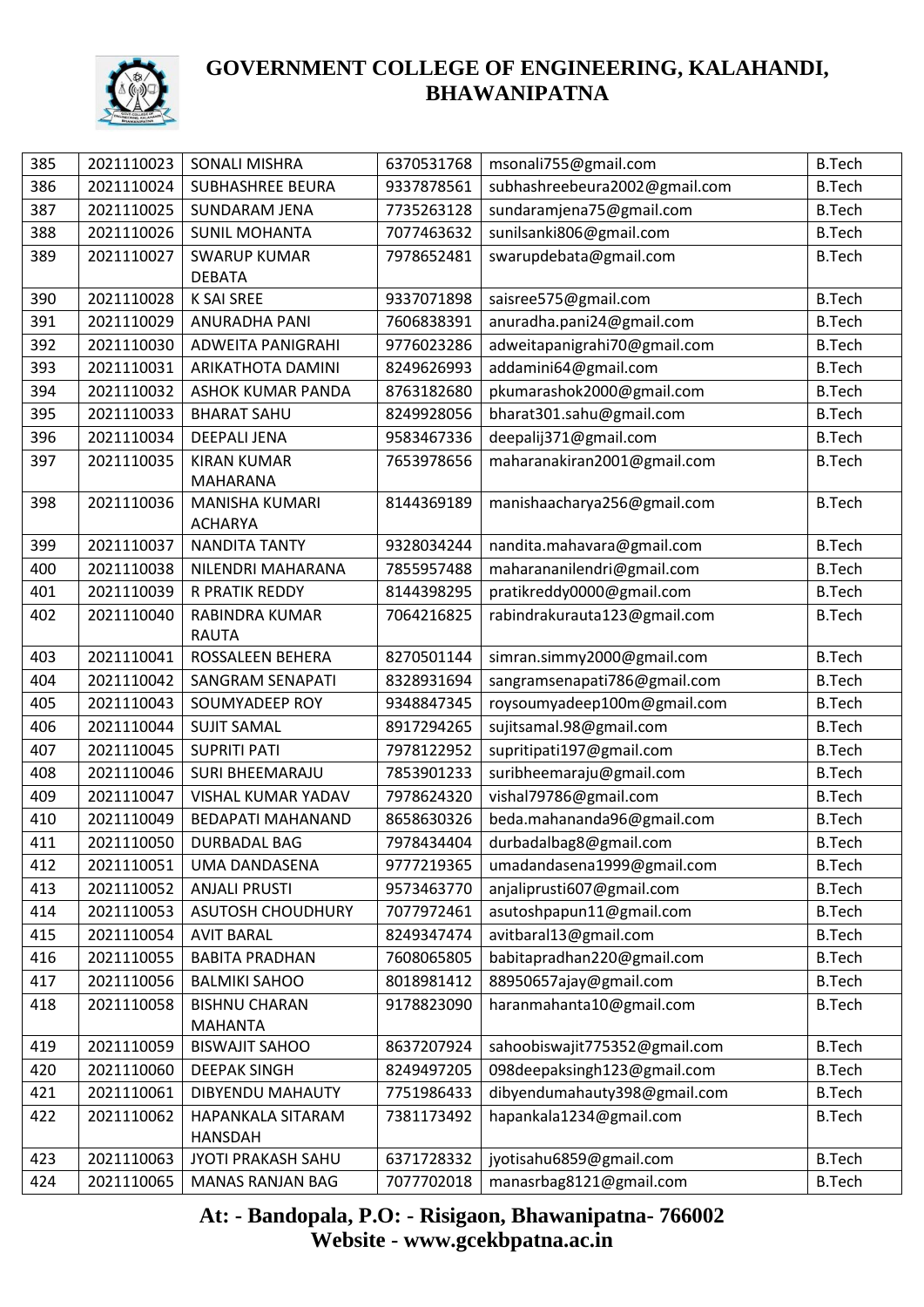

| 385 | 2021110023 | <b>SONALI MISHRA</b>                    | 6370531768 | msonali755@gmail.com          | <b>B.Tech</b> |
|-----|------------|-----------------------------------------|------------|-------------------------------|---------------|
| 386 | 2021110024 | <b>SUBHASHREE BEURA</b>                 | 9337878561 | subhashreebeura2002@gmail.com | <b>B.Tech</b> |
| 387 | 2021110025 | <b>SUNDARAM JENA</b>                    | 7735263128 | sundaramjena75@gmail.com      | <b>B.Tech</b> |
| 388 | 2021110026 | <b>SUNIL MOHANTA</b>                    | 7077463632 | sunilsanki806@gmail.com       | <b>B.Tech</b> |
| 389 | 2021110027 | <b>SWARUP KUMAR</b>                     | 7978652481 | swarupdebata@gmail.com        | <b>B.Tech</b> |
|     |            | <b>DEBATA</b>                           |            |                               |               |
| 390 | 2021110028 | K SAI SREE                              | 9337071898 | saisree575@gmail.com          | <b>B.Tech</b> |
| 391 | 2021110029 | ANURADHA PANI                           | 7606838391 | anuradha.pani24@gmail.com     | <b>B.Tech</b> |
| 392 | 2021110030 | ADWEITA PANIGRAHI                       | 9776023286 | adweitapanigrahi70@gmail.com  | <b>B.Tech</b> |
| 393 | 2021110031 | ARIKATHOTA DAMINI                       | 8249626993 | addamini64@gmail.com          | <b>B.Tech</b> |
| 394 | 2021110032 | <b>ASHOK KUMAR PANDA</b>                | 8763182680 | pkumarashok2000@gmail.com     | <b>B.Tech</b> |
| 395 | 2021110033 | <b>BHARAT SAHU</b>                      | 8249928056 | bharat301.sahu@gmail.com      | <b>B.Tech</b> |
| 396 | 2021110034 | <b>DEEPALI JENA</b>                     | 9583467336 | deepalij371@gmail.com         | <b>B.Tech</b> |
| 397 | 2021110035 | <b>KIRAN KUMAR</b><br><b>MAHARANA</b>   | 7653978656 | maharanakiran2001@gmail.com   | <b>B.Tech</b> |
| 398 | 2021110036 | <b>MANISHA KUMARI</b><br><b>ACHARYA</b> | 8144369189 | manishaacharya256@gmail.com   | <b>B.Tech</b> |
| 399 | 2021110037 | <b>NANDITA TANTY</b>                    | 9328034244 | nandita.mahavara@gmail.com    | <b>B.Tech</b> |
| 400 | 2021110038 | NILENDRI MAHARANA                       | 7855957488 | maharananilendri@gmail.com    | <b>B.Tech</b> |
| 401 | 2021110039 | R PRATIK REDDY                          | 8144398295 | pratikreddy0000@gmail.com     | <b>B.Tech</b> |
| 402 | 2021110040 | <b>RABINDRA KUMAR</b><br><b>RAUTA</b>   | 7064216825 | rabindrakurauta123@gmail.com  | <b>B.Tech</b> |
| 403 | 2021110041 | ROSSALEEN BEHERA                        | 8270501144 | simran.simmy2000@gmail.com    | <b>B.Tech</b> |
| 404 | 2021110042 | <b>SANGRAM SENAPATI</b>                 | 8328931694 | sangramsenapati786@gmail.com  | <b>B.Tech</b> |
| 405 | 2021110043 | SOUMYADEEP ROY                          | 9348847345 | roysoumyadeep100m@gmail.com   | <b>B.Tech</b> |
| 406 | 2021110044 | <b>SUJIT SAMAL</b>                      | 8917294265 | sujitsamal.98@gmail.com       | <b>B.Tech</b> |
| 407 | 2021110045 | <b>SUPRITI PATI</b>                     | 7978122952 | supritipati197@gmail.com      | <b>B.Tech</b> |
| 408 | 2021110046 | <b>SURI BHEEMARAJU</b>                  | 7853901233 | suribheemaraju@gmail.com      | <b>B.Tech</b> |
| 409 | 2021110047 | VISHAL KUMAR YADAV                      | 7978624320 | vishal79786@gmail.com         | <b>B.Tech</b> |
| 410 | 2021110049 | <b>BEDAPATI MAHANAND</b>                | 8658630326 | beda.mahananda96@gmail.com    | <b>B.Tech</b> |
| 411 | 2021110050 | DURBADAL BAG                            | 7978434404 | durbadalbag8@gmail.com        | <b>B.Tech</b> |
| 412 | 2021110051 | UMA DANDASENA                           | 9777219365 | umadandasena1999@gmail.com    | <b>B.Tech</b> |
| 413 | 2021110052 | <b>ANJALI PRUSTI</b>                    | 9573463770 | anjaliprusti607@gmail.com     | <b>B.Tech</b> |
| 414 | 2021110053 | <b>ASUTOSH CHOUDHURY</b>                | 7077972461 | asutoshpapun11@gmail.com      | <b>B.Tech</b> |
| 415 | 2021110054 | <b>AVIT BARAL</b>                       | 8249347474 | avitbaral13@gmail.com         | <b>B.Tech</b> |
| 416 | 2021110055 | <b>BABITA PRADHAN</b>                   | 7608065805 | babitapradhan220@gmail.com    | <b>B.Tech</b> |
| 417 | 2021110056 | <b>BALMIKI SAHOO</b>                    | 8018981412 | 88950657ajay@gmail.com        | <b>B.Tech</b> |
| 418 | 2021110058 | <b>BISHNU CHARAN</b><br><b>MAHANTA</b>  | 9178823090 | haranmahanta10@gmail.com      | <b>B.Tech</b> |
| 419 | 2021110059 | <b>BISWAJIT SAHOO</b>                   | 8637207924 | sahoobiswajit775352@gmail.com | <b>B.Tech</b> |
| 420 | 2021110060 | <b>DEEPAK SINGH</b>                     | 8249497205 | 098deepaksingh123@gmail.com   | <b>B.Tech</b> |
| 421 | 2021110061 | DIBYENDU MAHAUTY                        | 7751986433 | dibyendumahauty398@gmail.com  | <b>B.Tech</b> |
| 422 | 2021110062 | HAPANKALA SITARAM<br><b>HANSDAH</b>     | 7381173492 | hapankala1234@gmail.com       | <b>B.Tech</b> |
| 423 | 2021110063 | JYOTI PRAKASH SAHU                      | 6371728332 | jyotisahu6859@gmail.com       | <b>B.Tech</b> |
| 424 | 2021110065 | <b>MANAS RANJAN BAG</b>                 | 7077702018 | manasrbag8121@gmail.com       | <b>B.Tech</b> |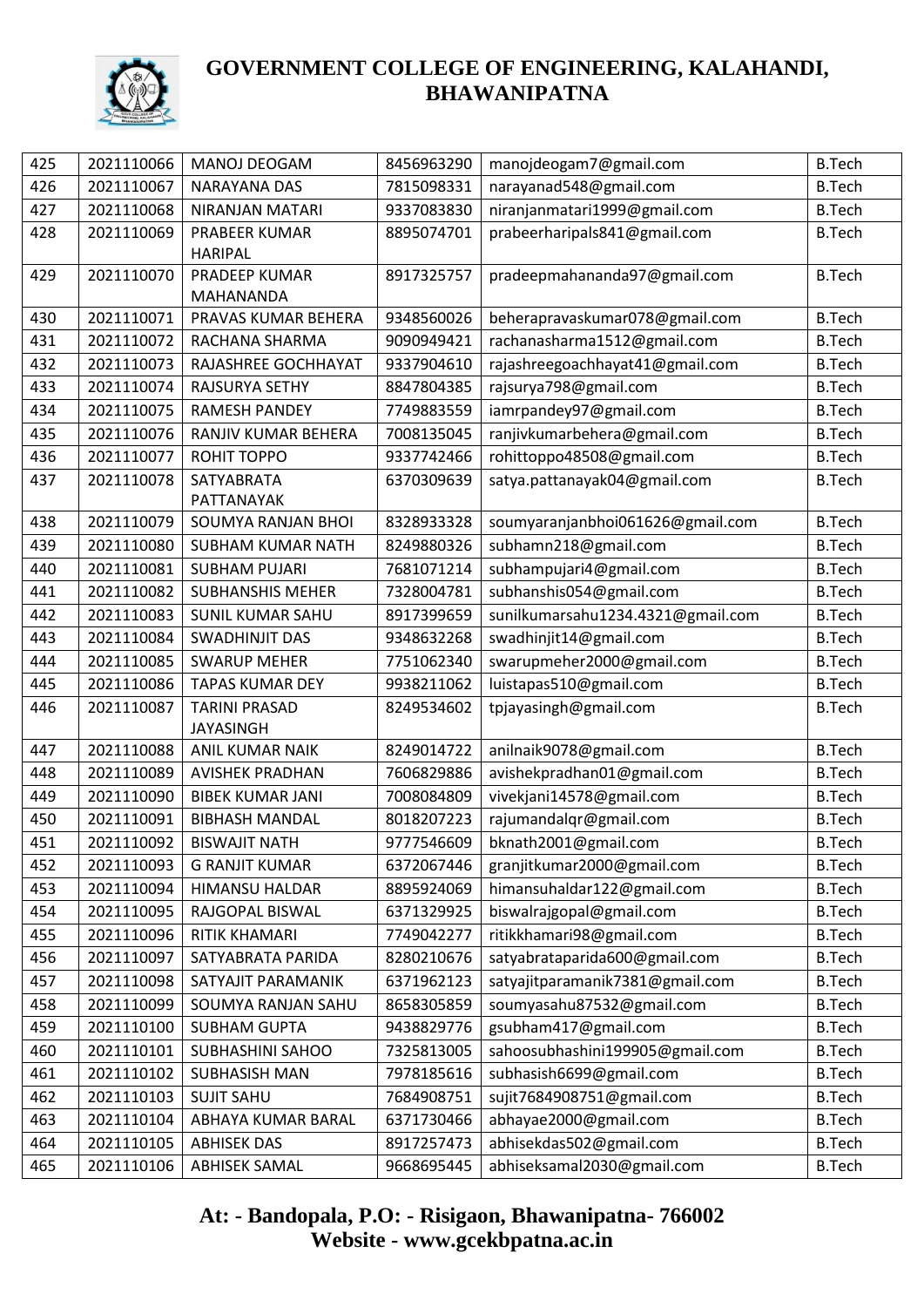

| 425 | 2021110066 | MANOJ DEOGAM            | 8456963290 | manojdeogam7@gmail.com            | <b>B.Tech</b> |
|-----|------------|-------------------------|------------|-----------------------------------|---------------|
| 426 | 2021110067 | NARAYANA DAS            | 7815098331 | narayanad548@gmail.com            | <b>B.Tech</b> |
| 427 | 2021110068 | NIRANJAN MATARI         | 9337083830 | niranjanmatari1999@gmail.com      | <b>B.Tech</b> |
| 428 | 2021110069 | PRABEER KUMAR           | 8895074701 | prabeerharipals841@gmail.com      | <b>B.Tech</b> |
|     |            | <b>HARIPAL</b>          |            |                                   |               |
| 429 | 2021110070 | PRADEEP KUMAR           | 8917325757 | pradeepmahananda97@gmail.com      | <b>B.Tech</b> |
|     |            | MAHANANDA               |            |                                   |               |
| 430 | 2021110071 | PRAVAS KUMAR BEHERA     | 9348560026 | beherapravaskumar078@gmail.com    | <b>B.Tech</b> |
| 431 | 2021110072 | RACHANA SHARMA          | 9090949421 | rachanasharma1512@gmail.com       | <b>B.Tech</b> |
| 432 | 2021110073 | RAJASHREE GOCHHAYAT     | 9337904610 | rajashreegoachhayat41@gmail.com   | <b>B.Tech</b> |
| 433 | 2021110074 | RAJSURYA SETHY          | 8847804385 | rajsurya798@gmail.com             | <b>B.Tech</b> |
| 434 | 2021110075 | <b>RAMESH PANDEY</b>    | 7749883559 | iamrpandey97@gmail.com            | <b>B.Tech</b> |
| 435 | 2021110076 | RANJIV KUMAR BEHERA     | 7008135045 | ranjivkumarbehera@gmail.com       | <b>B.Tech</b> |
| 436 | 2021110077 | ROHIT TOPPO             | 9337742466 | rohittoppo48508@gmail.com         | <b>B.Tech</b> |
| 437 | 2021110078 | SATYABRATA              | 6370309639 | satya.pattanayak04@gmail.com      | <b>B.Tech</b> |
|     |            | PATTANAYAK              |            |                                   |               |
| 438 | 2021110079 | SOUMYA RANJAN BHOI      | 8328933328 | soumyaranjanbhoi061626@gmail.com  | <b>B.Tech</b> |
| 439 | 2021110080 | SUBHAM KUMAR NATH       | 8249880326 | subhamn218@gmail.com              | <b>B.Tech</b> |
| 440 | 2021110081 | <b>SUBHAM PUJARI</b>    | 7681071214 | subhampujari4@gmail.com           | <b>B.Tech</b> |
| 441 | 2021110082 | <b>SUBHANSHIS MEHER</b> | 7328004781 | subhanshis054@gmail.com           | <b>B.Tech</b> |
| 442 | 2021110083 | SUNIL KUMAR SAHU        | 8917399659 | sunilkumarsahu1234.4321@gmail.com | <b>B.Tech</b> |
| 443 | 2021110084 | <b>SWADHINJIT DAS</b>   | 9348632268 | swadhinjit14@gmail.com            | <b>B.Tech</b> |
| 444 | 2021110085 | <b>SWARUP MEHER</b>     | 7751062340 | swarupmeher2000@gmail.com         | <b>B.Tech</b> |
| 445 | 2021110086 | <b>TAPAS KUMAR DEY</b>  | 9938211062 | luistapas510@gmail.com            | <b>B.Tech</b> |
| 446 | 2021110087 | <b>TARINI PRASAD</b>    | 8249534602 | tpjayasingh@gmail.com             | <b>B.Tech</b> |
|     |            | <b>JAYASINGH</b>        |            |                                   |               |
| 447 | 2021110088 | ANIL KUMAR NAIK         | 8249014722 | anilnaik9078@gmail.com            | <b>B.Tech</b> |
| 448 | 2021110089 | <b>AVISHEK PRADHAN</b>  | 7606829886 | avishekpradhan01@gmail.com        | <b>B.Tech</b> |
| 449 | 2021110090 | <b>BIBEK KUMAR JANI</b> | 7008084809 | vivekjani14578@gmail.com          | <b>B.Tech</b> |
| 450 | 2021110091 | <b>BIBHASH MANDAL</b>   | 8018207223 | rajumandalqr@gmail.com            | <b>B.Tech</b> |
| 451 | 2021110092 | <b>BISWAJIT NATH</b>    | 9777546609 | bknath2001@gmail.com              | <b>B.Tech</b> |
| 452 | 2021110093 | <b>G RANJIT KUMAR</b>   | 6372067446 | granjitkumar2000@gmail.com        | <b>B.Tech</b> |
| 453 | 2021110094 | <b>HIMANSU HALDAR</b>   | 8895924069 | himansuhaldar122@gmail.com        | <b>B.Tech</b> |
| 454 | 2021110095 | RAJGOPAL BISWAL         | 6371329925 | biswalrajgopal@gmail.com          | <b>B.Tech</b> |
| 455 | 2021110096 | RITIK KHAMARI           | 7749042277 | ritikkhamari98@gmail.com          | <b>B.Tech</b> |
| 456 | 2021110097 | SATYABRATA PARIDA       | 8280210676 | satyabrataparida600@gmail.com     | <b>B.Tech</b> |
| 457 | 2021110098 | SATYAJIT PARAMANIK      | 6371962123 | satyajitparamanik7381@gmail.com   | <b>B.Tech</b> |
| 458 | 2021110099 | SOUMYA RANJAN SAHU      | 8658305859 | soumyasahu87532@gmail.com         | <b>B.Tech</b> |
| 459 | 2021110100 | <b>SUBHAM GUPTA</b>     | 9438829776 | gsubham417@gmail.com              | <b>B.Tech</b> |
| 460 | 2021110101 | SUBHASHINI SAHOO        | 7325813005 | sahoosubhashini199905@gmail.com   | <b>B.Tech</b> |
| 461 | 2021110102 | <b>SUBHASISH MAN</b>    | 7978185616 | subhasish6699@gmail.com           | <b>B.Tech</b> |
| 462 | 2021110103 | <b>SUJIT SAHU</b>       | 7684908751 | sujit7684908751@gmail.com         | <b>B.Tech</b> |
| 463 | 2021110104 | ABHAYA KUMAR BARAL      | 6371730466 | abhayae2000@gmail.com             | <b>B.Tech</b> |
| 464 | 2021110105 | <b>ABHISEK DAS</b>      | 8917257473 | abhisekdas502@gmail.com           | <b>B.Tech</b> |
| 465 | 2021110106 | <b>ABHISEK SAMAL</b>    | 9668695445 | abhiseksamal2030@gmail.com        | <b>B.Tech</b> |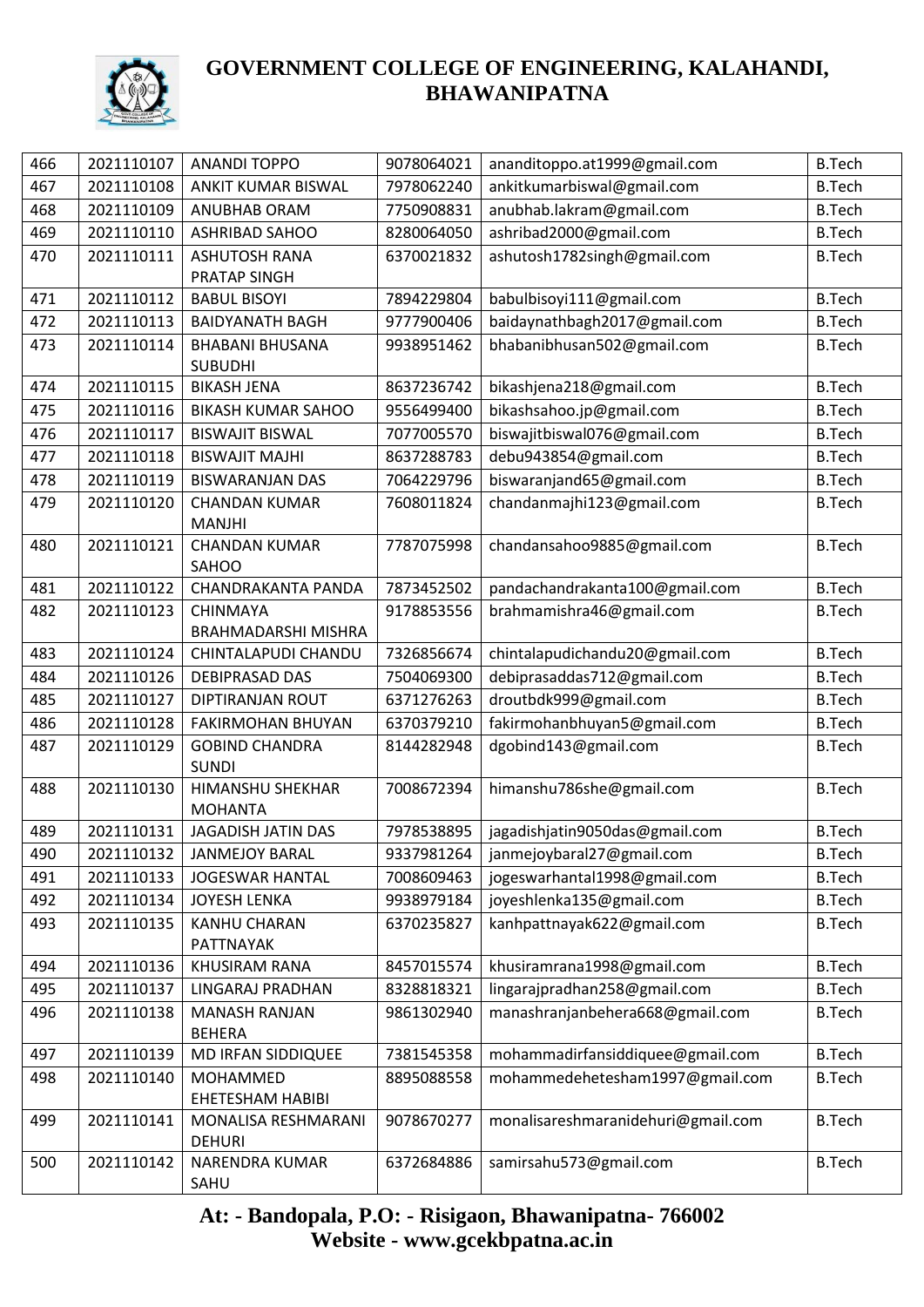

| 466 | 2021110107 | <b>ANANDI TOPPO</b>                   | 9078064021 | ananditoppo.at1999@gmail.com       | <b>B.Tech</b> |
|-----|------------|---------------------------------------|------------|------------------------------------|---------------|
| 467 | 2021110108 | ANKIT KUMAR BISWAL                    | 7978062240 | ankitkumarbiswal@gmail.com         | <b>B.Tech</b> |
| 468 | 2021110109 | ANUBHAB ORAM                          | 7750908831 | anubhab.lakram@gmail.com           | <b>B.Tech</b> |
| 469 | 2021110110 | <b>ASHRIBAD SAHOO</b>                 | 8280064050 | ashribad2000@gmail.com             | <b>B.Tech</b> |
| 470 | 2021110111 | <b>ASHUTOSH RANA</b>                  | 6370021832 | ashutosh1782singh@gmail.com        | <b>B.Tech</b> |
|     |            | PRATAP SINGH                          |            |                                    |               |
| 471 | 2021110112 | <b>BABUL BISOYI</b>                   | 7894229804 | babulbisoyi111@gmail.com           | <b>B.Tech</b> |
| 472 | 2021110113 | <b>BAIDYANATH BAGH</b>                | 9777900406 | baidaynathbagh2017@gmail.com       | <b>B.Tech</b> |
| 473 | 2021110114 | <b>BHABANI BHUSANA</b>                | 9938951462 | bhabanibhusan502@gmail.com         | <b>B.Tech</b> |
|     |            | <b>SUBUDHI</b>                        |            |                                    |               |
| 474 | 2021110115 | <b>BIKASH JENA</b>                    | 8637236742 | bikashjena218@gmail.com            | <b>B.Tech</b> |
| 475 | 2021110116 | <b>BIKASH KUMAR SAHOO</b>             | 9556499400 | bikashsahoo.jp@gmail.com           | <b>B.Tech</b> |
| 476 | 2021110117 | <b>BISWAJIT BISWAL</b>                | 7077005570 | biswajitbiswal076@gmail.com        | <b>B.Tech</b> |
| 477 | 2021110118 | <b>BISWAJIT MAJHI</b>                 | 8637288783 | debu943854@gmail.com               | <b>B.Tech</b> |
| 478 | 2021110119 | <b>BISWARANJAN DAS</b>                | 7064229796 | biswaranjand65@gmail.com           | <b>B.Tech</b> |
| 479 | 2021110120 | <b>CHANDAN KUMAR</b>                  | 7608011824 | chandanmajhi123@gmail.com          | <b>B.Tech</b> |
| 480 | 2021110121 | <b>MANJHI</b><br><b>CHANDAN KUMAR</b> | 7787075998 | chandansahoo9885@gmail.com         | <b>B.Tech</b> |
|     |            | SAHOO                                 |            |                                    |               |
| 481 | 2021110122 | CHANDRAKANTA PANDA                    | 7873452502 | pandachandrakanta100@gmail.com     | <b>B.Tech</b> |
| 482 | 2021110123 | CHINMAYA                              | 9178853556 | brahmamishra46@gmail.com           | <b>B.Tech</b> |
|     |            | <b>BRAHMADARSHI MISHRA</b>            |            |                                    |               |
| 483 | 2021110124 | CHINTALAPUDI CHANDU                   | 7326856674 | chintalapudichandu20@gmail.com     | <b>B.Tech</b> |
| 484 | 2021110126 | <b>DEBIPRASAD DAS</b>                 | 7504069300 | debiprasaddas712@gmail.com         | <b>B.Tech</b> |
| 485 | 2021110127 | DIPTIRANJAN ROUT                      | 6371276263 | droutbdk999@gmail.com              | <b>B.Tech</b> |
| 486 | 2021110128 | <b>FAKIRMOHAN BHUYAN</b>              | 6370379210 | fakirmohanbhuyan5@gmail.com        | <b>B.Tech</b> |
| 487 | 2021110129 | <b>GOBIND CHANDRA</b>                 | 8144282948 | dgobind143@gmail.com               | <b>B.Tech</b> |
|     |            | <b>SUNDI</b>                          |            |                                    |               |
| 488 | 2021110130 | HIMANSHU SHEKHAR                      | 7008672394 | himanshu786she@gmail.com           | <b>B.Tech</b> |
|     |            | <b>MOHANTA</b>                        |            |                                    |               |
| 489 | 2021110131 | JAGADISH JATIN DAS                    | 7978538895 | jagadishjatin9050das@gmail.com     | <b>B.Tech</b> |
| 490 | 2021110132 | <b>JANMEJOY BARAL</b>                 | 9337981264 | janmejoybaral27@gmail.com          | <b>B.Tech</b> |
| 491 | 2021110133 | <b>JOGESWAR HANTAL</b>                | 7008609463 | jogeswarhantal1998@gmail.com       | <b>B.Tech</b> |
| 492 | 2021110134 | <b>JOYESH LENKA</b>                   | 9938979184 | joyeshlenka135@gmail.com           | <b>B.Tech</b> |
| 493 | 2021110135 | <b>KANHU CHARAN</b>                   | 6370235827 | kanhpattnayak622@gmail.com         | <b>B.Tech</b> |
| 494 | 2021110136 | PATTNAYAK<br>KHUSIRAM RANA            | 8457015574 | khusiramrana1998@gmail.com         | <b>B.Tech</b> |
| 495 | 2021110137 | LINGARAJ PRADHAN                      | 8328818321 | lingarajpradhan258@gmail.com       | <b>B.Tech</b> |
| 496 | 2021110138 | <b>MANASH RANJAN</b>                  | 9861302940 | manashranjanbehera668@gmail.com    | <b>B.Tech</b> |
|     |            | <b>BEHERA</b>                         |            |                                    |               |
| 497 | 2021110139 | MD IRFAN SIDDIQUEE                    | 7381545358 | mohammadirfansiddiquee@gmail.com   | <b>B.Tech</b> |
| 498 | 2021110140 | MOHAMMED                              | 8895088558 | mohammedehetesham1997@gmail.com    | <b>B.Tech</b> |
|     |            | EHETESHAM HABIBI                      |            |                                    |               |
| 499 | 2021110141 | MONALISA RESHMARANI                   | 9078670277 | monalisareshmaranidehuri@gmail.com | <b>B.Tech</b> |
|     |            | <b>DEHURI</b>                         |            |                                    |               |
| 500 | 2021110142 | NARENDRA KUMAR                        | 6372684886 | samirsahu573@gmail.com             | <b>B.Tech</b> |
|     |            | SAHU                                  |            |                                    |               |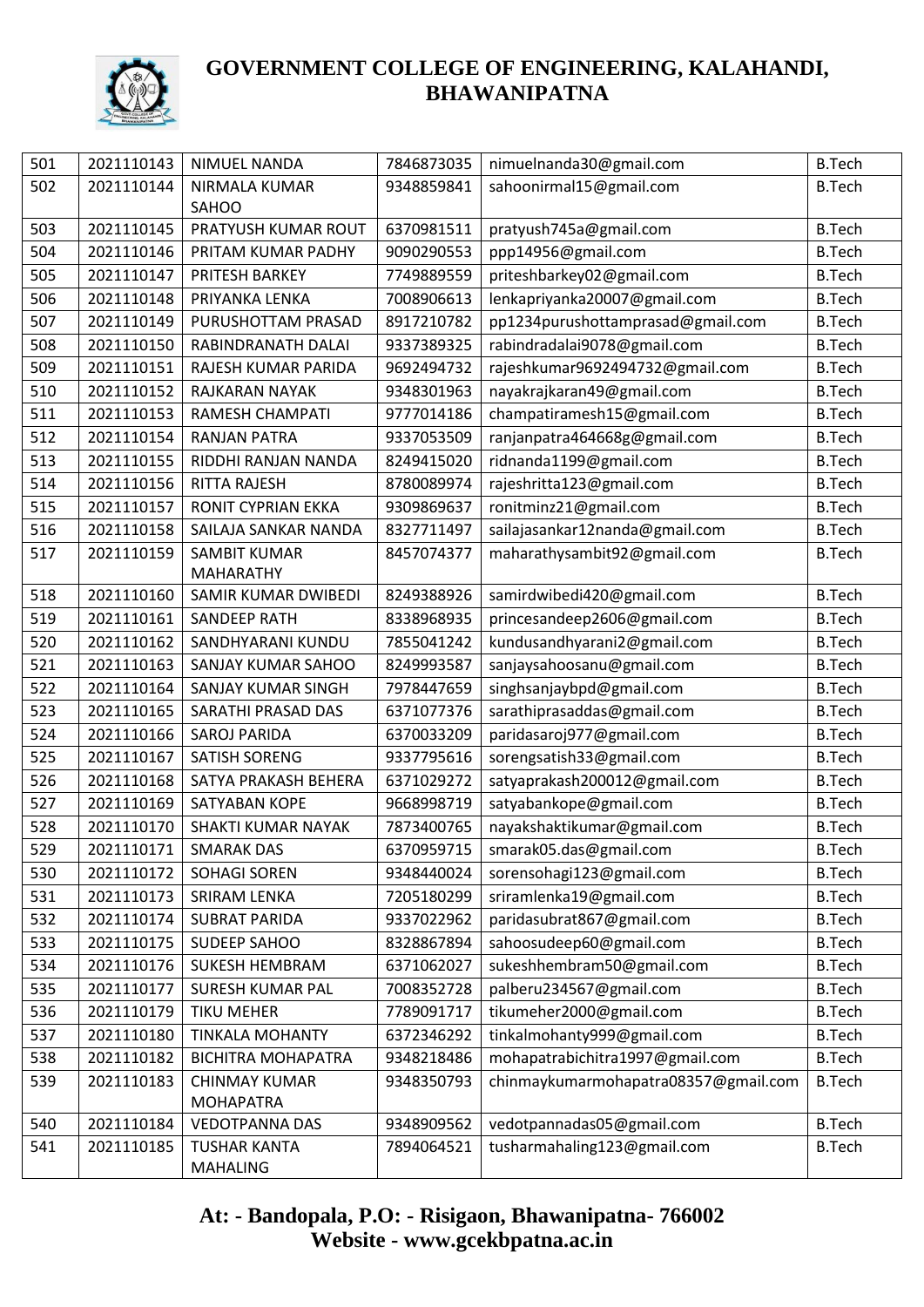

| 501 | 2021110143 | NIMUEL NANDA                    | 7846873035 | nimuelnanda30@gmail.com              | <b>B.Tech</b> |
|-----|------------|---------------------------------|------------|--------------------------------------|---------------|
| 502 | 2021110144 | NIRMALA KUMAR                   | 9348859841 | sahoonirmal15@gmail.com              | <b>B.Tech</b> |
|     |            | SAHOO                           |            |                                      |               |
| 503 | 2021110145 | PRATYUSH KUMAR ROUT             | 6370981511 | pratyush745a@gmail.com               | <b>B.Tech</b> |
| 504 | 2021110146 | PRITAM KUMAR PADHY              | 9090290553 | ppp14956@gmail.com                   | <b>B.Tech</b> |
| 505 | 2021110147 | PRITESH BARKEY                  | 7749889559 | priteshbarkey02@gmail.com            | <b>B.Tech</b> |
| 506 | 2021110148 | PRIYANKA LENKA                  | 7008906613 | lenkapriyanka20007@gmail.com         | <b>B.Tech</b> |
| 507 | 2021110149 | PURUSHOTTAM PRASAD              | 8917210782 | pp1234purushottamprasad@gmail.com    | <b>B.Tech</b> |
| 508 | 2021110150 | RABINDRANATH DALAI              | 9337389325 | rabindradalai9078@gmail.com          | <b>B.Tech</b> |
| 509 | 2021110151 | RAJESH KUMAR PARIDA             | 9692494732 | rajeshkumar9692494732@gmail.com      | <b>B.Tech</b> |
| 510 | 2021110152 | RAJKARAN NAYAK                  | 9348301963 | nayakrajkaran49@gmail.com            | <b>B.Tech</b> |
| 511 | 2021110153 | RAMESH CHAMPATI                 | 9777014186 | champatiramesh15@gmail.com           | <b>B.Tech</b> |
| 512 | 2021110154 | <b>RANJAN PATRA</b>             | 9337053509 | ranjanpatra464668g@gmail.com         | <b>B.Tech</b> |
| 513 | 2021110155 | RIDDHI RANJAN NANDA             | 8249415020 | ridnanda1199@gmail.com               | <b>B.Tech</b> |
| 514 | 2021110156 | RITTA RAJESH                    | 8780089974 | rajeshritta123@gmail.com             | <b>B.Tech</b> |
| 515 | 2021110157 | RONIT CYPRIAN EKKA              | 9309869637 | ronitminz21@gmail.com                | <b>B.Tech</b> |
| 516 | 2021110158 | SAILAJA SANKAR NANDA            | 8327711497 | sailajasankar12nanda@gmail.com       | <b>B.Tech</b> |
| 517 | 2021110159 | <b>SAMBIT KUMAR</b>             | 8457074377 | maharathysambit92@gmail.com          | <b>B.Tech</b> |
|     |            | <b>MAHARATHY</b>                |            |                                      |               |
| 518 | 2021110160 | SAMIR KUMAR DWIBEDI             | 8249388926 | samirdwibedi420@gmail.com            | <b>B.Tech</b> |
| 519 | 2021110161 | <b>SANDEEP RATH</b>             | 8338968935 | princesandeep2606@gmail.com          | <b>B.Tech</b> |
| 520 | 2021110162 | SANDHYARANI KUNDU               | 7855041242 | kundusandhyarani2@gmail.com          | <b>B.Tech</b> |
| 521 | 2021110163 | SANJAY KUMAR SAHOO              | 8249993587 | sanjaysahoosanu@gmail.com            | <b>B.Tech</b> |
| 522 | 2021110164 | SANJAY KUMAR SINGH              | 7978447659 | singhsanjaybpd@gmail.com             | <b>B.Tech</b> |
| 523 | 2021110165 | SARATHI PRASAD DAS              | 6371077376 | sarathiprasaddas@gmail.com           | <b>B.Tech</b> |
| 524 | 2021110166 | <b>SAROJ PARIDA</b>             | 6370033209 | paridasaroj977@gmail.com             | <b>B.Tech</b> |
| 525 | 2021110167 | <b>SATISH SORENG</b>            | 9337795616 | sorengsatish33@gmail.com             | <b>B.Tech</b> |
| 526 | 2021110168 | SATYA PRAKASH BEHERA            | 6371029272 | satyaprakash200012@gmail.com         | <b>B.Tech</b> |
| 527 | 2021110169 | SATYABAN KOPE                   | 9668998719 | satyabankope@gmail.com               | <b>B.Tech</b> |
| 528 | 2021110170 | SHAKTI KUMAR NAYAK              | 7873400765 | nayakshaktikumar@gmail.com           | <b>B.Tech</b> |
| 529 | 2021110171 | <b>SMARAK DAS</b>               |            | 6370959715   smarak05.das@gmail.com  | <b>B.Tech</b> |
| 530 | 2021110172 | <b>SOHAGI SOREN</b>             | 9348440024 | sorensohagi123@gmail.com             | <b>B.Tech</b> |
| 531 | 2021110173 | <b>SRIRAM LENKA</b>             | 7205180299 | sriramlenka19@gmail.com              | <b>B.Tech</b> |
| 532 | 2021110174 | <b>SUBRAT PARIDA</b>            | 9337022962 | paridasubrat867@gmail.com            | <b>B.Tech</b> |
| 533 | 2021110175 | SUDEEP SAHOO                    | 8328867894 | sahoosudeep60@gmail.com              | <b>B.Tech</b> |
| 534 | 2021110176 | <b>SUKESH HEMBRAM</b>           | 6371062027 | sukeshhembram50@gmail.com            | <b>B.Tech</b> |
| 535 | 2021110177 | <b>SURESH KUMAR PAL</b>         | 7008352728 | palberu234567@gmail.com              | <b>B.Tech</b> |
| 536 | 2021110179 | <b>TIKU MEHER</b>               | 7789091717 | tikumeher2000@gmail.com              | <b>B.Tech</b> |
| 537 | 2021110180 | <b>TINKALA MOHANTY</b>          | 6372346292 | tinkalmohanty999@gmail.com           | <b>B.Tech</b> |
| 538 | 2021110182 | <b>BICHITRA MOHAPATRA</b>       | 9348218486 | mohapatrabichitra1997@gmail.com      | <b>B.Tech</b> |
| 539 | 2021110183 | <b>CHINMAY KUMAR</b>            | 9348350793 | chinmaykumarmohapatra08357@gmail.com | <b>B.Tech</b> |
|     |            | <b>MOHAPATRA</b>                |            |                                      |               |
| 540 | 2021110184 | <b>VEDOTPANNA DAS</b>           | 9348909562 | vedotpannadas05@gmail.com            | <b>B.Tech</b> |
| 541 | 2021110185 | <b>TUSHAR KANTA</b><br>MAHALING | 7894064521 | tusharmahaling123@gmail.com          | <b>B.Tech</b> |
|     |            |                                 |            |                                      |               |